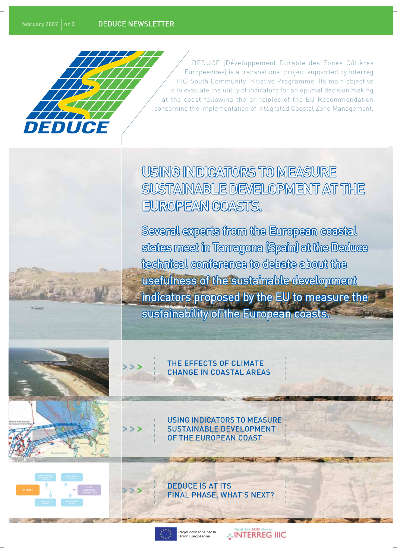

DEDUCE (Développement Durable des Zones Côtières Européennes) is a transnational project supported by Interreg IIIC-South Community Initiative Programme. Its main objective is to evaluate the utility of indicators for an optimal decision making at the coast following the principles of the EU Recommendation concerning the implementation of Integrated Coastal Zone Management.

USING INDICATORS TO MEASURE SUSTAINABLE DEVELOPMENT AT THE EUROPEAN COASTS.

Several experts from the European coastal states meet in Tarragona (Spain) at the Deduce technical conference to debate about the usefulness of the sustainable development indicators proposed by the EU to measure the sustainability of the European coasts.





THE EFFECTS OF CLIMATE **CHANGE IN COASTAL AREAS** 

**USING INDICATORS TO MEASURE SUSTAINABLE DEVELOPMENT** OF THE EUROPEAN COAST

**FINAL PHASE, WHAT'S NEXT?** 

ojet cofinancé par la<br>Non Européenne

**DEDUCE IS AT ITS** 

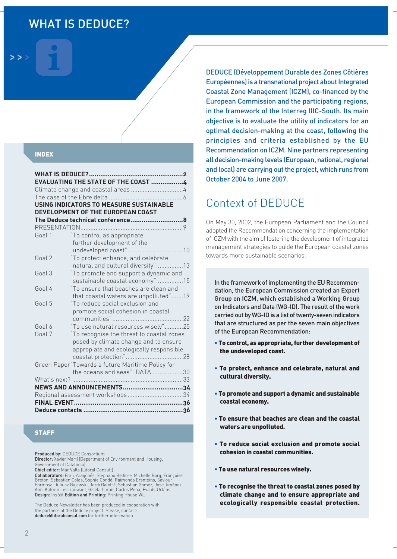# **WHAT IS DEDUCE?**

#### **INDEX**

|              | EVALUATING THE STATE OF THE COAST 4              |  |
|--------------|--------------------------------------------------|--|
|              |                                                  |  |
|              |                                                  |  |
|              | <b>USING INDICATORS TO MEASURE SUSTAINABLE</b>   |  |
|              | DEVELOPMENT OF THE EUROPEAN COAST                |  |
|              |                                                  |  |
|              |                                                  |  |
| Goal 1       | "To control as appropriate                       |  |
|              | further development of the                       |  |
|              |                                                  |  |
| Goal 2       | "To protect enhance, and celebrate               |  |
|              | natural and cultural diversity"13                |  |
| Goal 3       | "To promote and support a dynamic and            |  |
|              | sustainable coastal economy"15                   |  |
| Goal 4       | "To ensure that beaches are clean and            |  |
|              | that coastal waters are unpolluted"19            |  |
| Goal 5       | "To reduce social exclusion and                  |  |
|              | promote social cohesion in coastal               |  |
|              |                                                  |  |
| Goal 6       | "To use natural resources wisely"25              |  |
| Goal 7       | "To recognise the threat to coastal zones        |  |
|              | posed by climate change and to ensure            |  |
|              | appropiate and ecologically responsible          |  |
|              |                                                  |  |
|              | Green Paper"Towards a future Maritime Policy for |  |
|              | the oceans and seas". DATA30                     |  |
| What's next? |                                                  |  |
|              | NEWS AND ANNOUNCEMENTS34                         |  |
|              |                                                  |  |
|              |                                                  |  |
|              |                                                  |  |

### **STAFF**

Produced by: DEDUCE Consortium

Director: Xavier Martí (Department of Environment and Housing, Government of Catalonial

Chief editor: Mar Valls (Litoral Consult)

Collaborators: Enric Aragonés, Stephano Belfiore, Michelle Borg, Françoise Breton, Sebastien Colas, Sophie Condé, Raimonds Ersnteins, Saviour<br>Formosa, Juliusz Gajewski, Jordi Galofré, Sebastian Gomez, Jose Jiménez,<br>Ann-Katrien Lescrauwaet, Gisela Loran, Carlos Peña, Évalds Urtáns, Design: Insolit Edition and Printing: Printing House WL

The Deduce Newsletter has been produced in cooperation with the partners of the Deduce project. Please, contact: deduce@litoralconsul.com for further information

**DEDUCE (Développement Durable des Zones Côtières** Européennes) is a transnational project about Integrated Coastal Zone Management (ICZM), co-financed by the European Commission and the participating regions, in the framework of the Interreg IIIC-South. Its main objective is to evaluate the utility of indicators for an optimal decision-making at the coast, following the principles and criteria established by the EU Recommendation on ICZM. Nine partners representing all decision-making levels (European, national, regional and local) are carrying out the project, which runs from October 2004 to June 2007.

## Context of DEDUCE

On May 30, 2002, the European Parliament and the Council adopted the Recommendation concerning the implementation of ICZM with the aim of fostering the development of integrated management strategies to guide the European coastal zones towards more sustainable scenarios.

In the framework of implementing the EU Recommendation, the European Commission created an Expert Group on ICZM, which established a Working Group on Indicators and Data (WG-ID). The result of the work carried out by WG-ID is a list of twenty-seven indicators that are structured as per the seven main objectives of the European Recommendation:

- . To control, as appropriate, further development of the undeveloped coast.
- . To protect, enhance and celebrate, natural and cultural diversity.
- . To promote and support a dynamic and sustainable coastal economy.
- To ensure that beaches are clean and the coastal waters are unpolluted.
- To reduce social exclusion and promote social cohesion in coastal communities.
- . To use natural resources wisely.
- . To recognise the threat to coastal zones posed by climate change and to ensure appropriate and ecologically responsible coastal protection.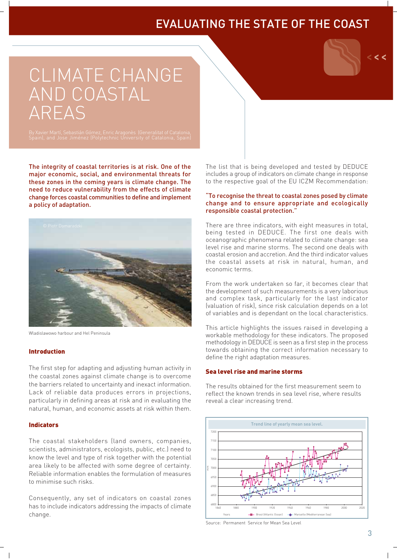# **EVALUATING THE STATE OF THE COAST**

# CLIMATE CHANGE AND COASTAL **AREAS**

The integrity of coastal territories is at risk. One of the major economic, social, and environmental threats for these zones in the coming years is climate change. The need to reduce vulnerability from the effects of climate change forces coastal communities to define and implement a policy of adaptation.



Wladislawowo harbour and Hel Peninsula

#### **Introduction**

The first step for adapting and adjusting human activity in the coastal zones against climate change is to overcome the barriers related to uncertainty and inexact information. Lack of reliable data produces errors in projections, particularly in defining areas at risk and in evaluating the natural, human, and economic assets at risk within them.

#### **Indicators**

The coastal stakeholders (land owners, companies, scientists, administrators, ecologists, public, etc.) need to know the level and type of risk together with the potential area likely to be affected with some degree of certainty. Reliable information enables the formulation of measures to minimise such risks

Consequently, any set of indicators on coastal zones has to include indicators addressing the impacts of climate change.

The list that is being developed and tested by DEDUCE includes a group of indicators on climate change in response to the respective goal of the EU ICZM Recommendation:

#### "To recognise the threat to coastal zones posed by climate change and to ensure appropriate and ecologically responsible coastal protection."

There are three indicators, with eight measures in total, being tested in DEDUCE. The first one deals with oceanographic phenomena related to climate change: sea level rise and marine storms. The second one deals with coastal erosion and accretion. And the third indicator values the coastal assets at risk in natural, human, and economic terms.

From the work undertaken so far, it becomes clear that the development of such measurements is a very laborious and complex task, particularly for the last indicator (valuation of risk), since risk calculation depends on a lot of variables and is dependant on the local characteristics.

This article highlights the issues raised in developing a workable methodology for these indicators. The proposed methodology in DEDUCE is seen as a first step in the process towards obtaining the correct information necessary to define the right adaptation measures.

#### Sea level rise and marine storms

The results obtained for the first measurement seem to reflect the known trends in sea level rise, where results reveal a clear increasing trend.



Source: Permanent Service for Mean Sea Level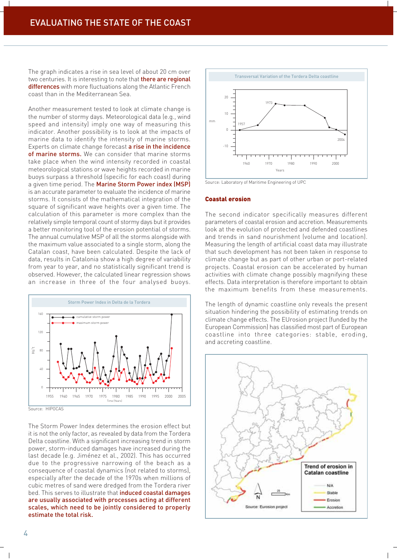The graph indicates a rise in sea level of about 20 cm over two centuries. It is interesting to note that there are regional differences with more fluctuations along the Atlantic French coast than in the Mediterranean Sea.

Another measurement tested to look at climate change is the number of stormy days. Meteorological data (e.g., wind speed and intensity) imply one way of measuring this indicator. Another possibility is to look at the impacts of marine data to identify the intensity of marine storms. Experts on climate change forecast a rise in the incidence of marine storms. We can consider that marine storms take place when the wind intensity recorded in coastal meteorological stations or wave heights recorded in marine buoys surpass a threshold (specific for each coast) during a given time period. The Marine Storm Power index (MSP) is an accurate parameter to evaluate the incidence of marine storms. It consists of the mathematical integration of the square of significant wave heights over a given time. The calculation of this parameter is more complex than the relatively simple temporal count of stormy days but it provides a better monitoring tool of the erosion potential of storms. The annual cumulative MSP of all the storms alongside with the maximum value associated to a single storm, along the Catalan coast, have been calculated. Despite the lack of data, results in Catalonia show a high degree of variability from year to year, and no statistically significant trend is observed. However, the calculated linear regression shows an increase in three of the four analysed buoys.



Source: HIPOCAS

The Storm Power Index determines the erosion effect but it is not the only factor, as revealed by data from the Tordera Delta coastline. With a significant increasing trend in storm power, storm-induced damages have increased during the last decade (e.g. Jiménez et al., 2002). This has occurred due to the progressive narrowing of the beach as a consequence of coastal dynamics (not related to storms), especially after the decade of the 1970s when millions of cubic metres of sand were dredged from the Tordera river bed. This serves to illustrate that *induced* coastal damages are usually associated with processes acting at different scales, which need to be jointly considered to properly estimate the total risk.



Source: Laboratory of Maritime Engineering of UPC

#### **Coastal erosion**

The second indicator specifically measures different parameters of coastal erosion and accretion. Measurements look at the evolution of protected and defended coastlines and trends in sand nourishment (volume and location). Measuring the length of artificial coast data may illustrate that such development has not been taken in response to climate change but as part of other urban or port-related projects. Coastal erosion can be accelerated by human activities with climate change possibly magnifying these effects. Data interpretation is therefore important to obtain the maximum benefits from these measurements.

The length of dynamic coastline only reveals the present situation hindering the possibility of estimating trends on climate change effects. The EUrosion project (funded by the European Commission) has classified most part of European coastline into three categories: stable, eroding, and accreting coastline.

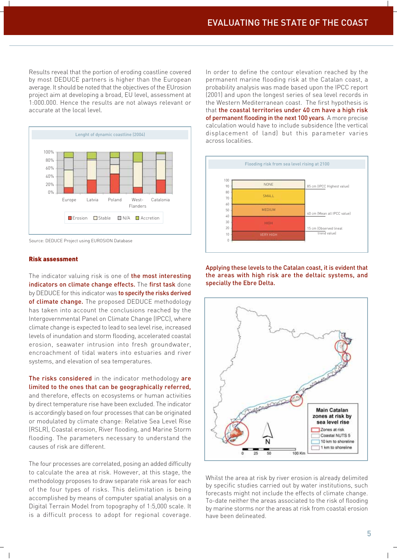Results reveal that the portion of eroding coastline covered by most DEDUCE partners is higher than the European average. It should be noted that the objectives of the EUrosion project aim at developing a broad, EU level, assessment at 1:000.000. Hence the results are not always relevant or accurate at the local level.



Source: DEDUCE Project using EUROSION Database

#### **Risk assessment**

The indicator valuing risk is one of the most interesting indicators on climate change effects. The first task done by DEDUCE for this indicator was to specify the risks derived of climate change. The proposed DEDUCE methodology has taken into account the conclusions reached by the Intergovernmental Panel on Climate Change (IPCC), where climate change is expected to lead to sea level rise, increased levels of inundation and storm flooding, accelerated coastal erosion, seawater intrusion into fresh groundwater, encroachment of tidal waters into estuaries and river systems, and elevation of sea temperatures.

The risks considered in the indicator methodology are limited to the ones that can be geographically referred, and therefore, effects on ecosystems or human activities by direct temperature rise have been excluded. The indicator is accordingly based on four processes that can be originated or modulated by climate change: Relative Sea Level Rise (RSLR), Coastal erosion, River flooding, and Marine Storm flooding. The parameters necessary to understand the causes of risk are different.

The four processes are correlated, posing an added difficulty to calculate the area at risk. However, at this stage, the methodology proposes to draw separate risk areas for each of the four types of risks. This delimitation is being accomplished by means of computer spatial analysis on a Digital Terrain Model from topography of 1:5,000 scale. It is a difficult process to adopt for regional coverage.

In order to define the contour elevation reached by the permanent marine flooding risk at the Catalan coast, a probability analysis was made based upon the IPCC report (2001) and upon the longest series of sea level records in the Western Mediterranean coast. The first hypothesis is that the coastal territories under 40 cm have a high risk of permanent flooding in the next 100 years. A more precise calculation would have to include subsidence (the vertical displacement of land) but this parameter varies across localities.



Applying these levels to the Catalan coast, it is evident that the areas with high risk are the deltaic systems, and specially the Ebre Delta.



Whilst the area at risk by river erosion is already delimited by specific studies carried out by water institutions, such forecasts might not include the effects of climate change. To-date neither the areas associated to the risk of flooding by marine storms nor the areas at risk from coastal erosion have been delineated.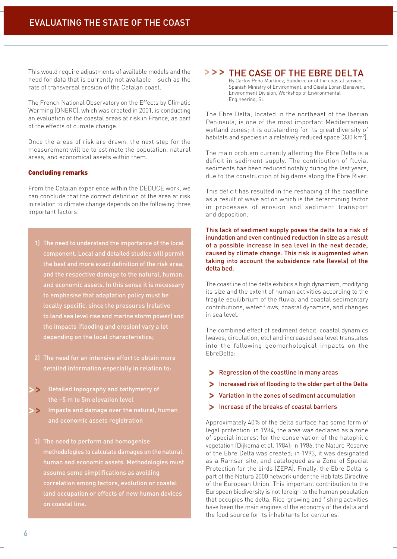This would require adjustments of available models and the need for data that is currently not available - such as the rate of transversal erosion of the Catalan coast.

The French National Observatory on the Effects by Climatic Warming (ONERC), which was created in 2001, is conducting an evaluation of the coastal areas at risk in France, as part of the effects of climate change.

Once the areas of risk are drawn, the next step for the measurement will be to estimate the population, natural areas, and economical assets within them.

#### **Concluding remarks**

From the Catalan experience within the DEDUCE work, we can conclude that the correct definition of the area at risk in relation to climate change depends on the following three important factors:

- 1) The need to understand the importance of the local component. Local and detailed studies will permit the best and more exact definition of the risk area, and the respective damage to the natural, human, and economic assets. In this sense it is necessary to emphasise that adaptation policy must be locally specific, since the pressures (relative to land sea level rise and marine storm power) and the impacts (flooding and erosion) vary a lot depending on the local characteristics;
- 2) The need for an intensive effort to obtain more detailed information especially in relation to:
- $\rightarrow$ Detailed topography and bathymetry of
- Impacts and damage over the natural, human  $\geq$ and economic assets registration
- 3) The need to perform and homogenise methodologies to calculate damages on the natural, human and economic assets. Methodologies must assume some simplifications as avoiding correlation among factors, evolution or coastal land occupation or effects of new human devices

## > > > THE CASE OF THE EBRE DELTA

By Carlos Peña Martínez, Subdirector of the coastal service. Spanish Ministry of Environment, and Gisela Loran Benavent, Environment Division, Workshop of Environmental Engineering, SL

The Ebre Delta, located in the northeast of the Iberian Peninsula, is one of the most important Mediterranean wetland zones; it is outstanding for its great diversity of habitats and species in a relatively reduced space (330 km<sup>2</sup>).

The main problem currently affecting the Ebre Delta is a deficit in sediment supply. The contribution of fluvial sediments has been reduced notably during the last years, due to the construction of big dams along the Ebre River.

This deficit has resulted in the reshaping of the coastline as a result of wave action which is the determining factor in processes of erosion and sediment transport and deposition.

This lack of sediment supply poses the delta to a risk of inundation and even continued reduction in size as a result of a possible increase in sea level in the next decade, caused by climate change. This risk is augmented when taking into account the subsidence rate (levels) of the delta bed.

The coastline of the delta exhibits a high dynamism, modifying its size and the extent of human activities according to the fragile equilibrium of the fluvial and coastal sedimentary contributions, water flows, coastal dynamics, and changes in sea level.

The combined effect of sediment deficit, coastal dynamics (waves, circulation, etc) and increased sea level translates into the following geomorhological impacts on the EbreDelta:

- > Regression of the coastline in many areas
- > Increased risk of flooding to the older part of the Delta
- Variation in the zones of sediment accumulation
- Increase of the breaks of coastal barriers

Approximately 40% of the delta surface has some form of legal protection: in 1984, the area was declared as a zone of special interest for the conservation of the halophilic vegetation (Dijkema et al, 1984); in 1986, the Nature Reserve of the Ebre Delta was created; in 1993, it was designated as a Ramsar site, and catalogued as a Zone of Special Protection for the birds (ZEPA). Finally, the Ebre Delta is part of the Natura 2000 network under the Habitats Directive of the European Union. This important contribution to the European biodiversity is not foreign to the human population that occupies the delta. Rice-growing and fishing activities have been the main engines of the economy of the delta and the food source for its inhabitants for centuries.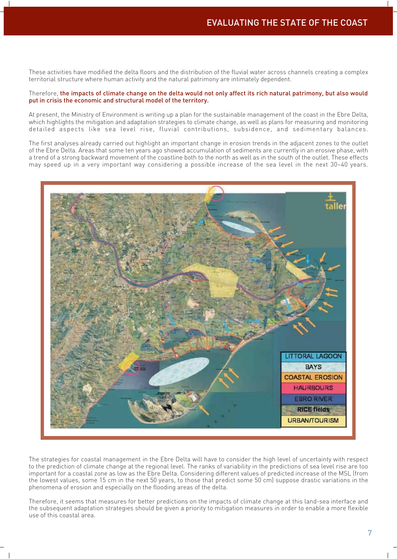These activities have modified the delta floors and the distribution of the fluvial water across channels creating a complex territorial structure where human activity and the natural patrimony are intimately dependent.

#### Therefore, the impacts of climate change on the delta would not only affect its rich natural patrimony, but also would put in crisis the economic and structural model of the territory.

At present, the Ministry of Environment is writing up a plan for the sustainable management of the coast in the Ebre Delta, which highlights the mitigation and adaptation strategies to climate change, as well as plans for measuring and monitoring detailed aspects like sea level rise, fluvial contributions, subsidence, and sedimentary balances.

The first analyses already carried out highlight an important change in erosion trends in the adjacent zones to the outlet of the Ebre Delta. Areas that some ten years ago showed accumulation of sediments are currently in an erosive phase, with a trend of a strong backward movement of the coastline both to the north as well as in the south of the outlet. These effects may speed up in a very important way considering a possible increase of the sea level in the next 30-40 years.



The strategies for coastal management in the Ebre Delta will have to consider the high level of uncertainty with respect to the prediction of climate change at the regional level. The ranks of variability in the predictions of sea level rise are too important for a coastal zone as low as the Ebre Delta. Considering different values of predicted increase of the MSL (from the lowest values, some 15 cm in the next 50 years, to those that predict some 50 cm) suppose drastic variations in the phenomena of erosion and especially on the flooding areas of the delta.

Therefore, it seems that measures for better predictions on the impacts of climate change at this land-sea interface and the subsequent adaptation strategies should be given a priority to mitigation measures in order to enable a more flexible use of this coastal area.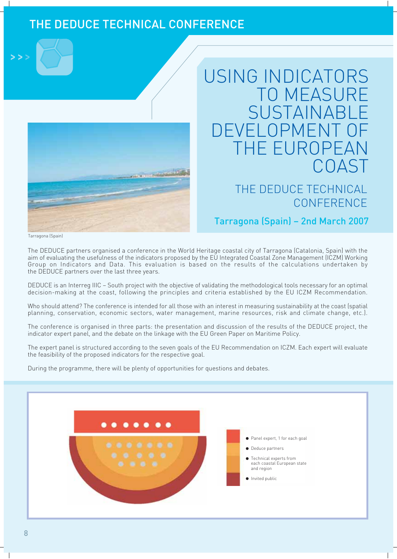# THE DEDUCE TECHNICAL CONFERENCE



# USING INDICATORS **TO MEASURE** SUSTAINABL OPME HF FUROPI COAST

# THE DEDUCE TECHNICAL CONFERENCE

## Tarragona (Spain) - 2nd March 2007

Tarragona (Spain)

The DEDUCE partners organised a conference in the World Heritage coastal city of Tarragona (Catalonia, Spain) with the aim of evaluating the usefulness of the indicators proposed by the EU Integrated Coastal Zone Management (ICZM) Working Group on Indicators and Data. This evaluation is based on the results of the calculations undertaken by the DEDUCE partners over the last three years.

DEDUCE is an Interreg IIIC - South project with the objective of validating the methodological tools necessary for an optimal decision-making at the coast, following the principles and criteria established by the EU ICZM Recommendation.

Who should attend? The conference is intended for all those with an interest in measuring sustainability at the coast (spatial planning, conservation, economic sectors, water management, marine resources, risk and climate change, etc.).

The conference is organised in three parts: the presentation and discussion of the results of the DEDUCE project, the indicator expert panel, and the debate on the linkage with the EU Green Paper on Maritime Policy.

The expert panel is structured according to the seven goals of the EU Recommendation on ICZM. Each expert will evaluate the feasibility of the proposed indicators for the respective goal.

During the programme, there will be plenty of opportunities for questions and debates.

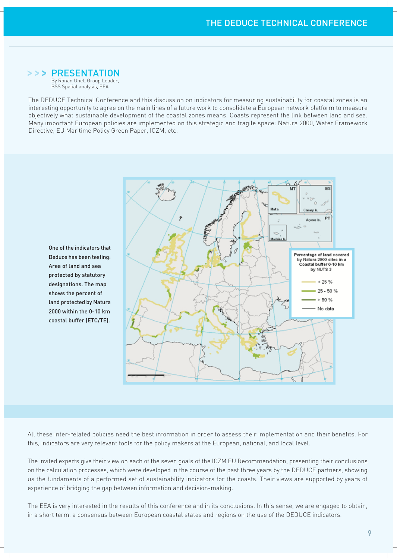## >>> PRESENTATION

By Ronan Uhel, Group Leader, **BSS** Spatial analysis, EEA

The DEDUCE Technical Conference and this discussion on indicators for measuring sustainability for coastal zones is an interesting opportunity to agree on the main lines of a future work to consolidate a European network platform to measure objectively what sustainable development of the coastal zones means. Coasts represent the link between land and sea. Many important European policies are implemented on this strategic and fragile space: Natura 2000, Water Framework Directive, EU Maritime Policy Green Paper, ICZM, etc.

One of the indicators that Deduce has been testing: Area of land and sea protected by statutory designations. The map shows the percent of land protected by Natura 2000 within the 0-10 km coastal buffer (ETC/TE).



All these inter-related policies need the best information in order to assess their implementation and their benefits. For this, indicators are very relevant tools for the policy makers at the European, national, and local level.

The invited experts give their view on each of the seven goals of the ICZM EU Recommendation, presenting their conclusions on the calculation processes, which were developed in the course of the past three years by the DEDUCE partners, showing us the fundaments of a performed set of sustainability indicators for the coasts. Their views are supported by years of experience of bridging the gap between information and decision-making.

The EEA is very interested in the results of this conference and in its conclusions. In this sense, we are engaged to obtain, in a short term, a consensus between European coastal states and regions on the use of the DEDUCE indicators.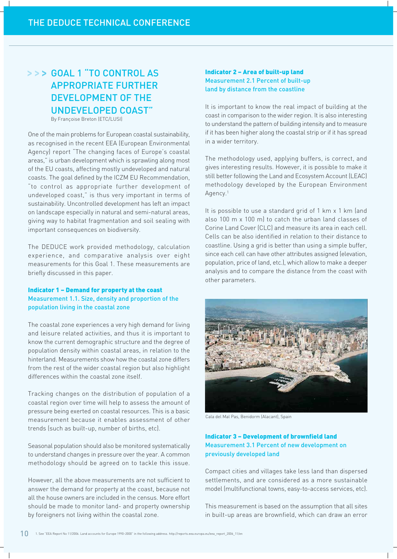## >>> GOAL 1 "TO CONTROL AS **APPROPRIATE FURTHER DEVELOPMENT OF THE UNDEVELOPED COAST"** By Françoise Breton (ETC/LUSI)

One of the main problems for European coastal sustainability, as recognised in the recent EEA (European Environmental Agency) report "The changing faces of Europe's coastal areas," is urban development which is sprawling along most of the EU coasts, affecting mostly undeveloped and natural coasts. The goal defined by the ICZM EU Recommendation, "to control as appropriate further development of undeveloped coast," is thus very important in terms of sustainability. Uncontrolled development has left an impact on landscape especially in natural and semi-natural areas, giving way to habitat fragmentation and soil sealing with important consequences on biodiversity.

The DEDUCE work provided methodology, calculation experience, and comparative analysis over eight measurements for this Goal 1. These measurements are briefly discussed in this paper.

#### **Indicator 1 - Demand for property at the coast** Measurement 1.1. Size, density and proportion of the population living in the coastal zone

The coastal zone experiences a very high demand for living and leisure related activities, and thus it is important to know the current demographic structure and the degree of population density within coastal areas, in relation to the hinterland. Measurements show how the coastal zone differs from the rest of the wider coastal region but also highlight differences within the coastal zone itself.

Tracking changes on the distribution of population of a coastal region over time will help to assess the amount of pressure being exerted on coastal resources. This is a basic measurement because it enables assessment of other trends (such as built-up, number of births, etc).

Seasonal population should also be monitored systematically to understand changes in pressure over the year. A common methodology should be agreed on to tackle this issue.

However, all the above measurements are not sufficient to answer the demand for property at the coast, because not all the house owners are included in the census. More effort should be made to monitor land- and property ownership by foreigners not living within the coastal zone.

### **Indicator 2 - Area of built-up land Measurement 2.1 Percent of built-up** land by distance from the coastline

It is important to know the real impact of building at the coast in comparison to the wider region. It is also interesting to understand the pattern of building intensity and to measure if it has been higher along the coastal strip or if it has spread in a wider territory.

The methodology used, applying buffers, is correct, and gives interesting results. However, it is possible to make it still better following the Land and Ecosystem Account (LEAC) methodology developed by the European Environment Agency.<sup>1</sup>

It is possible to use a standard grid of 1 km x 1 km (and also 100 m x 100 ml to catch the urban land classes of Corine Land Cover (CLC) and measure its area in each cell. Cells can be also identified in relation to their distance to coastline. Using a grid is better than using a simple buffer. since each cell can have other attributes assigned (elevation, population, price of land, etc.), which allow to make a deeper analysis and to compare the distance from the coast with other parameters.



Cala del Mal Pas, Benidorm (Alacant), Spain

### **Indicator 3 - Development of brownfield land** Measurement 3.1 Percent of new development on previously developed land

Compact cities and villages take less land than dispersed settlements, and are considered as a more sustainable model (multifunctional towns, easy-to-access services, etc).

This measurement is based on the assumption that all sites in built-up areas are brownfield, which can draw an error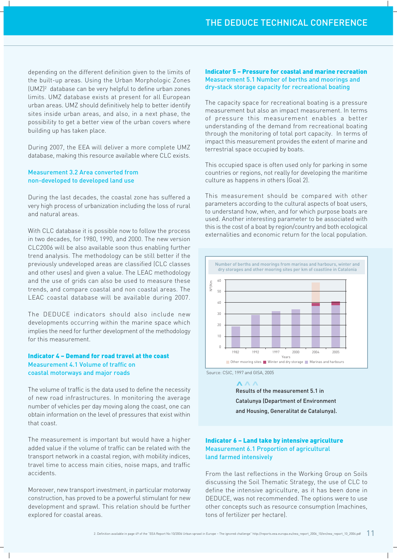depending on the different definition given to the limits of the built-up areas. Using the Urban Morphologic Zones (UMZ)<sup>2</sup> database can be very helpful to define urban zones limits. UMZ database exists at present for all European urban areas. UMZ should definitively help to better identify sites inside urban areas, and also, in a next phase, the possibility to get a better view of the urban covers where building up has taken place.

During 2007, the EEA will deliver a more complete UMZ database, making this resource available where CLC exists.

#### **Measurement 3.2 Area converted from** non-developed to developed land use

During the last decades, the coastal zone has suffered a very high process of urbanization including the loss of rural and natural areas.

With CLC database it is possible now to follow the process in two decades, for 1980, 1990, and 2000. The new version CLC2006 will be also available soon thus enabling further trend analysis. The methodology can be still better if the previously undeveloped areas are classified (CLC classes and other uses) and given a value. The LEAC methodology and the use of grids can also be used to measure these trends, and compare coastal and non coastal areas. The LEAC coastal database will be available during 2007.

The DEDUCE indicators should also include new developments occurring within the marine space which implies the need for further development of the methodology for this measurement

#### Indicator 4 - Demand for road travel at the coast Measurement 4.1 Volume of traffic on coastal motorways and major roads

The volume of traffic is the data used to define the necessity of new road infrastructures. In monitoring the average number of vehicles per day moving along the coast, one can obtain information on the level of pressures that exist within that coast.

The measurement is important but would have a higher added value if the volume of traffic can be related with the transport network in a coastal region, with mobility indices, travel time to access main cities, noise maps, and traffic accidents.

Moreover, new transport investment, in particular motorway construction, has proved to be a powerful stimulant for new development and sprawl. This relation should be further explored for coastal areas.

#### **Indicator 5 - Pressure for coastal and marine recreation** Measurement 5.1 Number of berths and moorings and dry-stack storage capacity for recreational boating

The capacity space for recreational boating is a pressure measurement but also an impact measurement. In terms of pressure this measurement enables a better understanding of the demand from recreational boating through the monitoring of total port capacity. In terms of impact this measurement provides the extent of marine and terrestrial space occupied by boats.

This occupied space is often used only for parking in some countries or regions, not really for developing the maritime culture as happens in others (Goal 2).

This measurement should be compared with other parameters according to the cultural aspects of boat users, to understand how, when, and for which purpose boats are used. Another interesting parameter to be associated with this is the cost of a boat by region/country and both ecological externalities and economic return for the local population.



 $\wedge\wedge\wedge$ 

Results of the measurement 5.1 in **Catalunya (Department of Environment** and Housing, Generalitat de Catalunya).

#### Indicator 6 - Land take by intensive agriculture **Measurement 6.1 Proportion of agricultural** land farmed intensively

From the last reflections in the Working Group on Soils discussing the Soil Thematic Strategy, the use of CLC to define the intensive agriculture, as it has been done in DEDUCE, was not recommended. The options were to use other concepts such as resource consumption (machines, tons of fertilizer per hectare).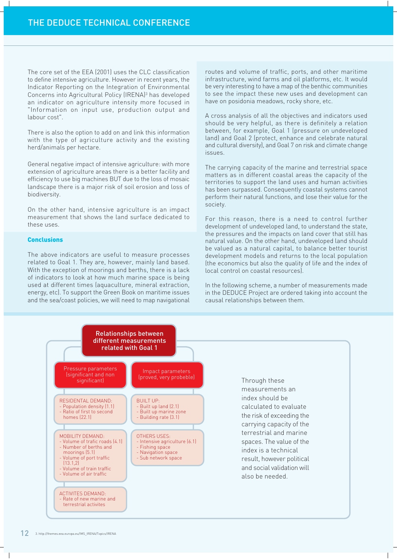The core set of the EEA (2001) uses the CLC classification to define intensive agriculture. However in recent years, the Indicator Reporting on the Integration of Environmental Concerns into Agricultural Policy (IRENA)<sup>3</sup> has developed an indicator on agriculture intensity more focused in "Information on input use, production output and labour cost".

There is also the option to add on and link this information with the type of agriculture activity and the existing herd/animals per hectare.

General negative impact of intensive agriculture: with more extension of agriculture areas there is a better facility and efficiency to use big machines BUT due to the loss of mosaic landscape there is a major risk of soil erosion and loss of biodiversity.

On the other hand, intensive agriculture is an impact measurement that shows the land surface dedicated to these uses

#### **Conclusions**

The above indicators are useful to measure processes related to Goal 1. They are, however, mainly land based. With the exception of moorings and berths, there is a lack of indicators to look at how much marine space is being used at different times (aquaculture, mineral extraction, energy, etc). To support the Green Book on maritime issues and the sea/coast policies, we will need to map navigational

routes and volume of traffic, ports, and other maritime infrastructure, wind farms and oil platforms, etc. It would be very interesting to have a map of the benthic communities to see the impact these new uses and development can have on posidonia meadows, rocky shore, etc.

A cross analysis of all the objectives and indicators used should be very helpful, as there is definitely a relation between, for example, Goal 1 (pressure on undeveloped land) and Goal 2 (protect, enhance and celebrate natural and cultural diversity), and Goal 7 on risk and climate change issues.

The carrying capacity of the marine and terrestrial space matters as in different coastal areas the capacity of the territories to support the land uses and human activities has been surpassed. Consequently coastal systems cannot perform their natural functions, and lose their value for the society.

For this reason, there is a need to control further development of undeveloped land, to understand the state, the pressures and the impacts on land cover that still has natural value. On the other hand, undeveloped land should be valued as a natural capital, to balance better tourist development models and returns to the local population (the economics but also the quality of life and the index of local control on coastal resources).

In the following scheme, a number of measurements made in the DEDUCE Project are ordered taking into account the causal relationships between them.

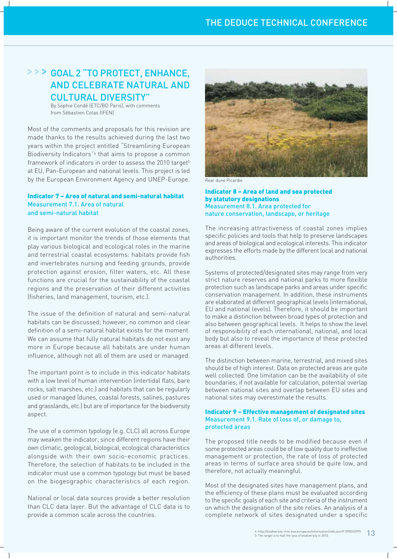## > > > GOAL 2 "TO PROTECT, ENHANCE, **AND CELEBRATE NATURAL AND** CULTURAL DIVERSITY"

By Sophie Condé (ETC/BD Paris), with comments from Sébastien Colas (IFEN)

Most of the comments and proposals for this revision are made thanks to the results achieved during the last two years within the project entitled "Streamlining European Biodiversity Indicators"<sup>4</sup> that aims to propose a common framework of indicators in order to assess the 2010 target<sup>5</sup> at EU, Pan-European and national levels. This project is led by the European Environment Agency and UNEP-Europe.

#### Indicator 7 - Area of natural and semi-natural habitat Measurement 7.1. Area of natural and semi-natural habitat

Being aware of the current evolution of the coastal zones, it is important monitor the trends of those elements that play various biological and ecological roles in the marine and terrestrial coastal ecosystems: habitats provide fish and invertebrates nursing and feeding grounds, provide protection against erosion, filter waters, etc. All these functions are crucial for the sustainability of the coastal regions and the preservation of their different activities (fisheries, land management, tourism, etc.).

The issue of the definition of natural and semi-natural habitats can be discussed; however, no common and clear definition of a semi-natural habitat exists for the moment. We can assume that fully natural habitats do not exist any more in Europe because all habitats are under human influence, although not all of them are used or managed.

The important point is to include in this indicator habitats with a low level of human intervention (intertidal flats, bare rocks, salt marshes, etc.) and habitats that can be regularly used or managed (dunes, coastal forests, salines, pastures and grasslands, etc.) but are of importance for the biodiversity aspect.

The use of a common typology (e.g. CLC) all across Europe may weaken the indicator, since different regions have their own climatic, geological, biological, ecological characteristics alongside with their own socio-economic practices. Therefore, the selection of habitats to be included in the indicator must use a common typology but must be based on the biogeographic characteristics of each region.

National or local data sources provide a better resolution than CLC data layer. But the advantage of CLC data is to provide a common scale across the countries.



Rear dune Picardie

#### Indicator 8 - Area of land and sea protected by statutory designations Measurement 8.1. Area protected for nature conservation, landscape, or heritage

The increasing attractiveness of coastal zones implies specific policies and tools that help to preserve landscapes and areas of biological and ecological interests. This indicator expresses the efforts made by the different local and national authorities

Systems of protected/designated sites may range from very strict nature reserves and national parks to more flexible protection such as landscape parks and areas under specific conservation management. In addition, these instruments are elaborated at different geographical levels (international, EU and national levels). Therefore, it should be important to make a distinction between broad types of protection and also between geographical levels. It helps to show the level of responsibility of each international, national, and local body but also to reveal the importance of these protected areas at different levels.

The distinction between marine, terrestrial, and mixed sites should be of high interest. Data on protected areas are quite well collected. One limitation can be the availability of site boundaries; if not available for calculation, potential overlap between national sites and overlap between EU sites and national sites may overestimate the results.

#### **Indicator 9 - Effective management of designated sites** Measurement 9.1. Rate of loss of, or damage to, protected areas

The proposed title needs to be modified because even if some protected areas could be of low quality due to ineffective management or protection, the rate of loss of protected areas in terms of surface area should be quite low, and therefore, not actually meaningful.

Most of the designated sites have management plans, and the efficiency of these plans must be evaluated according to the specific goals of each site and criteria of the instrument on which the designation of the site relies. An analysis of a complete network of sites designated under a specific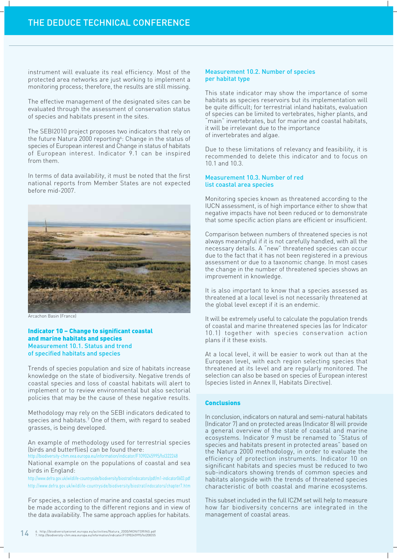instrument will evaluate its real efficiency. Most of the protected area networks are just working to implement a monitoring process; therefore, the results are still missing.

The effective management of the designated sites can be evaluated through the assessment of conservation status of species and habitats present in the sites.

The SEBI2010 project proposes two indicators that rely on the future Natura 2000 reporting<sup>6</sup>: Change in the status of species of European interest and Change in status of habitats of European interest. Indicator 9.1 can be inspired from them

In terms of data availability, it must be noted that the first national reports from Member States are not expected before mid-2007.



Arcachon Basin (France)

#### **Indicator 10 - Change to significant coastal** and marine habitats and species Measurement 10.1. Status and trend of specified habitats and species

Trends of species population and size of habitats increase knowledge on the state of biodiversity. Negative trends of coastal species and loss of coastal habitats will alert to implement or to review environmental but also sectorial policies that may be the cause of these negative results.

Methodology may rely on the SEBI indicators dedicated to species and habitats.7 One of them, with regard to seabed grasses, is being developed.

An example of methodology used for terrestrial species (birds and butterflies) can be found there:

http://biodiversity-chm.eea.europa.eu/information/indicator/F1090245995/fol322248 National example on the populations of coastal and sea

birds in England: http://www.defra.gov.uk/wildlife-countryside/biodiversity/biostrat/indocators/pdf/m1-indicator0603.pdf

http://www.defra.gov.uk/wildlife-countryside/biodiversity/biostrat/indocators/chapter7.htm

For species, a selection of marine and coastal species must be made according to the different regions and in view of the data availability. The same approach applies for habitats.

#### **Measurement 10.2. Number of species** per habitat type

This state indicator may show the importance of some habitats as species reservoirs but its implementation will be quite difficult; for terrestrial inland habitats, evaluation of species can be limited to vertebrates, higher plants, and "main" invertebrates, but for marine and coastal habitats, it will be irrelevant due to the importance of invertebrates and algae.

Due to these limitations of relevancy and feasibility, it is recommended to delete this indicator and to focus on 10.1 and 10.3.

#### Measurement 10.3. Number of red list coastal area species

Monitoring species known as threatened according to the IUCN assessment, is of high importance either to show that negative impacts have not been reduced or to demonstrate that some specific action plans are efficient or insufficient.

Comparison between numbers of threatened species is not always meaningful if it is not carefully handled, with all the necessary details. A "new" threatened species can occur due to the fact that it has not been registered in a previous assessment or due to a taxonomic change. In most cases the change in the number of threatened species shows an improvement in knowledge.

It is also important to know that a species assessed as threatened at a local level is not necessarily threatened at the global level except if it is an endemic.

It will be extremely useful to calculate the population trends of coastal and marine threatened species (as for Indicator 10.1) together with species conservation action plans if it these exists.

At a local level, it will be easier to work out than at the European level, with each region selecting species that threatened at its level and are regularly monitored. The selection can also be based on species of European interest (species listed in Annex II, Habitats Directive).

#### **Conclusions**

In conclusion, indicators on natural and semi-natural habitats (Indicator 7) and on protected areas (Indicator 8) will provide a general overview of the state of coastal and marine ecosystems. Indicator 9 must be renamed to "Status of species and habitats present in protected areas" based on the Natura 2000 methodology, in order to evaluate the efficiency of protection instruments. Indicator 10 on significant habitats and species must be reduced to two sub-indicators showing trends of common species and habitats alongside with the trends of threatened species characteristic of both coastal and marine ecosystems.

This subset included in the full ICZM set will help to measure how far biodiversity concerns are integrated in the management of coastal areas.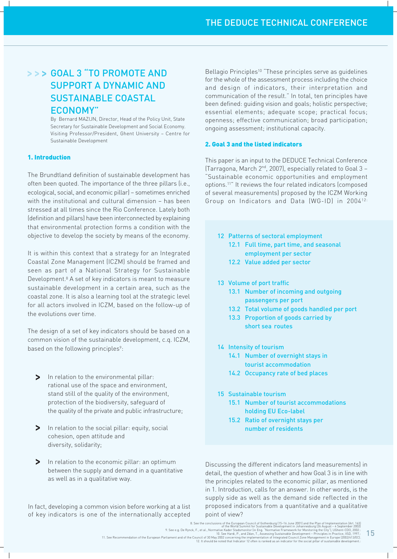## >>> GOAL 3 "TO PROMOTE AND **SUPPORT A DYNAMIC AND SUSTAINABLE COASTAL ECONOMY"**

By Bernard MAZIJN, Director, Head of the Policy Unit, State Secretary for Sustainable Development and Social Economy. Visiting Professor/President, Ghent University - Centre for Sustainable Development

#### 1. Introduction

The Brundtland definition of sustainable development has often been quoted. The importance of the three pillars (i.e., ecological, social, and economic pillar) - sometimes enriched with the institutional and cultural dimension - has been stressed at all times since the Rio Conference. Lately both (definition and pillars) have been interconnected by explaining that environmental protection forms a condition with the objective to develop the society by means of the economy.

It is within this context that a strategy for an Integrated Coastal Zone Management (ICZM) should be framed and seen as part of a National Strategy for Sustainable Development.<sup>8</sup> A set of key indicators is meant to measure sustainable development in a certain area, such as the coastal zone. It is also a learning tool at the strategic level for all actors involved in ICZM, based on the follow-up of the evolutions over time.

The design of a set of key indicators should be based on a common vision of the sustainable development, c.g. ICZM, based on the following principles<sup>9</sup>:

- In relation to the environmental pillar:  $\blacktriangleright$ rational use of the space and environment, stand still of the quality of the environment, protection of the biodiversity, safequard of the quality of the private and public infrastructure;
- $\geq$ In relation to the social pillar: equity, social cohesion, open attitude and diversity, solidarity;
- $\geq$ In relation to the economic pillar: an optimum between the supply and demand in a quantitative as well as in a qualitative way.

In fact, developing a common vision before working at a list of key indicators is one of the internationally accepted Bellagio Principles<sup>10</sup> "These principles serve as guidelines for the whole of the assessment process including the choice and design of indicators, their interpretation and communication of the result." In total, ten principles have been defined: quiding vision and goals; holistic perspective; essential elements; adequate scope; practical focus; openness; effective communication; broad participation; ongoing assessment; institutional capacity.

#### 2. Goal 3 and the listed indicators

This paper is an input to the DEDUCE Technical Conference (Tarragona, March 2<sup>nd</sup>, 2007), especially related to Goal 3 -"Sustainable economic opportunities and employment options.<sup>11"</sup> It reviews the four related indicators (composed of several measurements) proposed by the ICZM Working Group on Indicators and Data (WG-ID) in 200412:

- 12 Patterns of sectoral employment
	- 12.1 Full time, part time, and seasonal employment per sector
	- 12.2 Value added per sector
- 13 Volume of port traffic
	- 13.1 Number of incoming and outgoing passengers per port
	- 13.2 Total volume of goods handled per port
	- 13.3 Proportion of goods carried by short sea routes
- 14 Intensity of tourism
	- 14.1 Number of overnight stays in tourist accommodation
	- 14.2 Occupancy rate of bed places
- 15 Sustainable tourism
	- 15.1 Number of tourist accommodations holding EU Eco-label
	- 15.2 Ratio of overnight stays per number of residents

Discussing the different indicators (and measurements) in detail, the question of whether and how Goal 3 is in line with the principles related to the economic pillar, as mentioned in 1. Introduction, calls for an answer. In other words, is the supply side as well as the demand side reflected in the proposed indicators from a quantitative and a qualitative point of view?

15

<sup>8.</sup> See the conclusions of the European Council of Gothenburg (15-16 June 2001) and the Plan of Implementation (Art. 163)<br>8. See e.g. De Rynck, F., et al., Normative Kader Stadsmonitor (in Eng. "Normative Famework for Monin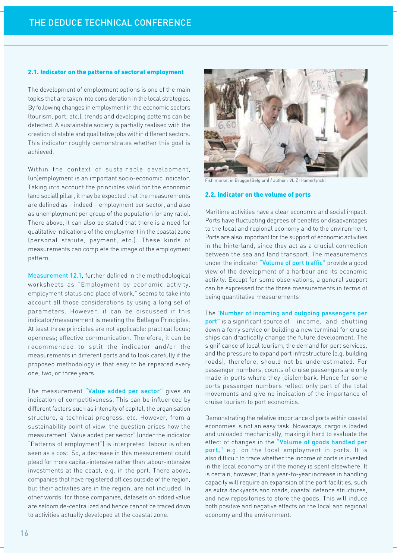#### 2.1. Indicator on the patterns of sectoral employment

The development of employment options is one of the main topics that are taken into consideration in the local strategies. By following changes in employment in the economic sectors (tourism, port, etc.), trends and developing patterns can be detected. A sustainable society is partially realised with the creation of stable and qualitative jobs within different sectors. This indicator roughly demonstrates whether this goal is achieved.

Within the context of sustainable development, (un) employment is an important socio-economic indicator. Taking into account the principles valid for the economic (and social) pillar, it may be expected that the measurements are defined as - indeed - employment per sector, and also as unemployment per group of the population (or any ratio). There above, it can also be stated that there is a need for qualitative indications of the employment in the coastal zone (personal statute, payment, etc.). These kinds of measurements can complete the image of the employment pattern.

Measurement 12.1, further defined in the methodological worksheets as "Employment by economic activity, employment status and place of work," seems to take into account all those considerations by using a long set of parameters. However, it can be discussed if this indicator/measurement is meeting the Bellagio Principles. At least three principles are not applicable: practical focus; openness; effective communication. Therefore, it can be recommended to split the indicator and/or the measurements in different parts and to look carefully if the proposed methodology is that easy to be repeated every one, two, or three years.

The measurement "Value added per sector" gives an indication of competitiveness. This can be influenced by different factors such as intensity of capital, the organisation structure, a technical progress, etc. However, from a sustainability point of view, the question arises how the measurement "Value added per sector" (under the indicator "Patterns of employment") is interpreted: labour is often seen as a cost. So, a decrease in this measurement could plead for more capital-intensive rather than labour-intensive investments at the coast, e.g. in the port. There above, companies that have registered offices outside of the region, but their activities are in the region, are not included. In other words: for those companies, datasets on added value are seldom de-centralized and hence cannot be traced down to activities actually developed at the coastal zone.



Fish market in Brugge (Belgium) / author : VLIZ (Hamerlynck)

#### 2.2. Indicator on the volume of ports

Maritime activities have a clear economic and social impact. Ports have fluctuating degrees of benefits or disadvantages to the local and regional economy and to the environment. Ports are also important for the support of economic activities in the hinterland, since they act as a crucial connection between the sea and land transport. The measurements under the indicator "Volume of port traffic" provide a good view of the development of a harbour and its economic activity. Except for some observations, a general support can be expressed for the three measurements in terms of being quantitative measurements:

The "Number of incoming and outgoing passengers per port" is a significant source of income, and shutting down a ferry service or building a new terminal for cruise ships can drastically change the future development. The significance of local tourism, the demand for port services, and the pressure to expand port infrastructure (e.g. building roads), therefore, should not be underestimated. For passenger numbers, counts of cruise passengers are only made in ports where they (dis)embark. Hence for some ports passenger numbers reflect only part of the total movements and give no indication of the importance of cruise tourism to port economics.

Demonstrating the relative importance of ports within coastal economies is not an easy task. Nowadays, cargo is loaded and unloaded mechanically, making it hard to evaluate the effect of changes in the "Volume of goods handled per port," e.g. on the local employment in ports. It is also difficult to trace whether the income of ports is invested in the local economy or if the money is spent elsewhere. It is certain, however, that a year-to-year increase in handling capacity will require an expansion of the port facilities, such as extra dockyards and roads, coastal defence structures, and new repositories to store the goods. This will induce both positive and negative effects on the local and regional economy and the environment.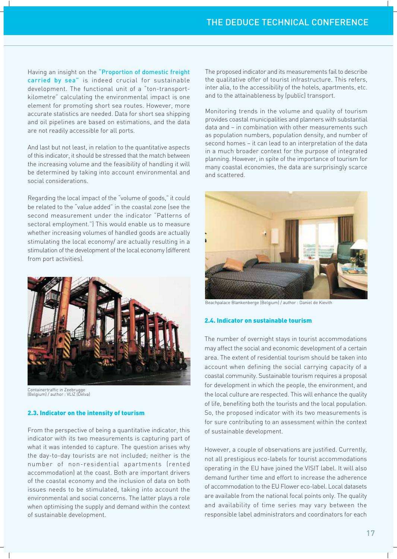Having an insight on the "Proportion of domestic freight carried by sea" is indeed crucial for sustainable development. The functional unit of a "ton-transportkilometre" calculating the environmental impact is one element for promoting short sea routes. However, more accurate statistics are needed. Data for short sea shipping and oil pipelines are based on estimations, and the data are not readily accessible for all ports.

And last but not least, in relation to the quantitative aspects of this indicator, it should be stressed that the match between the increasing volume and the feasibility of handling it will be determined by taking into account environmental and social considerations.

Regarding the local impact of the "volume of goods," it could be related to the "value added" in the coastal zone (see the second measurement under the indicator "Patterns of sectoral employment.") This would enable us to measure whether increasing volumes of handled goods are actually stimulating the local economy/ are actually resulting in a stimulation of the development of the local economy (different from port activities).



Containertraffic in Zeebrugge<br>(Belgium) / author : VLIZ (Delva)

#### 2.3. Indicator on the intensity of tourism

From the perspective of being a quantitative indicator, this indicator with its two measurements is capturing part of what it was intended to capture. The question arises why the day-to-day tourists are not included; neither is the number of non-residential apartments (rented accommodation) at the coast. Both are important drivers of the coastal economy and the inclusion of data on both issues needs to be stimulated, taking into account the environmental and social concerns. The latter plays a role when optimising the supply and demand within the context of sustainable development.

The proposed indicator and its measurements fail to describe the qualitative offer of tourist infrastructure. This refers, inter alia, to the accessibility of the hotels, apartments, etc. and to the attainableness by (public) transport.

Monitoring trends in the volume and quality of tourism provides coastal municipalities and planners with substantial data and - in combination with other measurements such as population numbers, population density, and number of second homes - it can lead to an interpretation of the data in a much broader context for the purpose of integrated planning. However, in spite of the importance of tourism for many coastal economies, the data are surprisingly scarce and scattered.



Beachpalace Blankenberge (Belgium) / author : Daniel de Kievith

#### 2.4. Indicator on sustainable tourism

The number of overnight stays in tourist accommodations may affect the social and economic development of a certain area. The extent of residential tourism should be taken into account when defining the social carrying capacity of a coastal community. Sustainable tourism requires a proposal for development in which the people, the environment, and the local culture are respected. This will enhance the quality of life, benefiting both the tourists and the local population. So, the proposed indicator with its two measurements is for sure contributing to an assessment within the context of sustainable development.

However, a couple of observations are justified. Currently, not all prestigious eco-labels for tourist accommodations operating in the EU have joined the VISIT label. It will also demand further time and effort to increase the adherence of accommodation to the EU Flower eco-label. Local datasets are available from the national focal points only. The quality and availability of time series may vary between the responsible label administrators and coordinators for each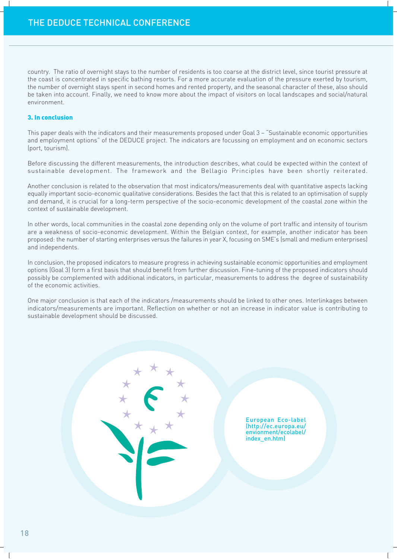country. The ratio of overnight stays to the number of residents is too coarse at the district level, since tourist pressure at the coast is concentrated in specific bathing resorts. For a more accurate evaluation of the pressure exerted by tourism, the number of overnight stays spent in second homes and rented property, and the seasonal character of these, also should be taken into account. Finally, we need to know more about the impact of visitors on local landscapes and social/natural environment.

#### 3. In conclusion

This paper deals with the indicators and their measurements proposed under Goal 3 - "Sustainable economic opportunities and employment options" of the DEDUCE project. The indicators are focussing on employment and on economic sectors (port, tourism).

Before discussing the different measurements, the introduction describes, what could be expected within the context of sustainable development. The framework and the Bellagio Principles have been shortly reiterated.

Another conclusion is related to the observation that most indicators/measurements deal with quantitative aspects lacking equally important socio-economic qualitative considerations. Besides the fact that this is related to an optimisation of supply and demand, it is crucial for a long-term perspective of the socio-economic development of the coastal zone within the context of sustainable development.

In other words, local communities in the coastal zone depending only on the volume of port traffic and intensity of tourism are a weakness of socio-economic development. Within the Belgian context, for example, another indicator has been proposed: the number of starting enterprises versus the failures in year X, focusing on SME's (small and medium enterprises) and independents.

In conclusion, the proposed indicators to measure progress in achieving sustainable economic opportunities and employment options (Goal 3) form a first basis that should benefit from further discussion. Fine-tuning of the proposed indicators should possibly be complemented with additional indicators, in particular, measurements to address the degree of sustainability of the economic activities.

One major conclusion is that each of the indicators /measurements should be linked to other ones. Interlinkages between indicators/measurements are important. Reflection on whether or not an increase in indicator value is contributing to sustainable development should be discussed.

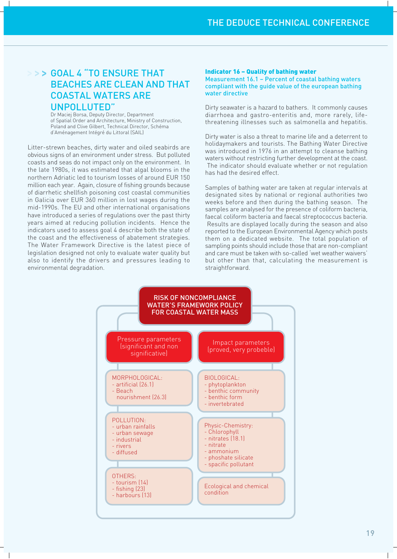## >>> GOAL 4 "TO ENSURE THAT **BEACHES ARE CLEAN AND THAT COASTAL WATERS ARE** UNPOLLUTED"

Dr Maciej Borsa, Deputy Director, Department of Spatial Order and Architecture, Ministry of Construction, Poland and Clive Gilbert, Technical Director, Schéma d'Aménagement Intégré du Littoral (SAIL)

Litter-strewn beaches, dirty water and oiled seabirds are obvious signs of an environment under stress. But polluted coasts and seas do not impact only on the environment. In the late 1980s, it was estimated that algal blooms in the northern Adriatic led to tourism losses of around EUR 150 million each year. Again, closure of fishing grounds because of diarrhetic shellfish poisoning cost coastal communities in Galicia over EUR 360 million in lost wages during the mid-1990s. The EU and other international organisations have introduced a series of regulations over the past thirty years aimed at reducing pollution incidents. Hence the indicators used to assess goal 4 describe both the state of the coast and the effectiveness of abatement strategies. The Water Framework Directive is the latest piece of legislation designed not only to evaluate water quality but also to identify the drivers and pressures leading to environmental degradation.

#### **Indicator 16 - Quality of bathing water**

Measurement 16.1 - Percent of coastal bathing waters compliant with the quide value of the european bathing water directive

Dirty seawater is a hazard to bathers. It commonly causes diarrhoea and gastro-enteritis and, more rarely, lifethreatening illnesses such as salmonella and hepatitis.

Dirty water is also a threat to marine life and a deterrent to holidaymakers and tourists. The Bathing Water Directive was introduced in 1976 in an attempt to cleanse bathing waters without restricting further development at the coast. The indicator should evaluate whether or not regulation has had the desired effect.

Samples of bathing water are taken at regular intervals at designated sites by national or regional authorities two weeks before and then during the bathing season. The samples are analysed for the presence of coliform bacteria, faecal coliform bacteria and faecal streptococcus bacteria. Results are displayed locally during the season and also reported to the European Environmental Agency which posts them on a dedicated website. The total population of sampling points should include those that are non-compliant and care must be taken with so-called 'wet weather waivers' but other than that, calculating the measurement is straightforward.

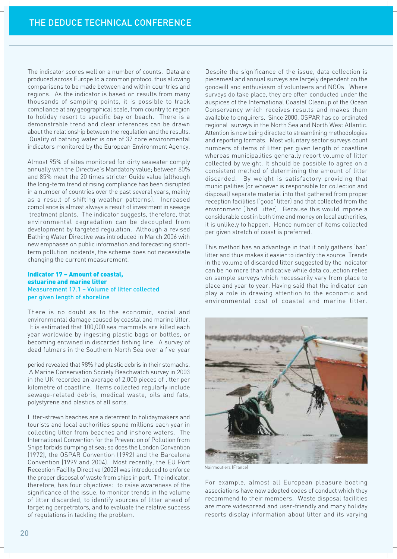The indicator scores well on a number of counts. Data are produced across Europe to a common protocol thus allowing comparisons to be made between and within countries and regions. As the indicator is based on results from many thousands of sampling points, it is possible to track compliance at any geographical scale, from country to region to holiday resort to specific bay or beach. There is a demonstrable trend and clear inferences can be drawn about the relationship between the regulation and the results. Quality of bathing water is one of 37 core environmental indicators monitored by the European Environment Agency.

Almost 95% of sites monitored for dirty seawater comply annually with the Directive's Mandatory value; between 80% and 85% meet the 20 times stricter Guide value (although the long-term trend of rising compliance has been disrupted in a number of countries over the past several years, mainly as a result of shifting weather patterns). Increased compliance is almost always a result of investment in sewage treatment plants. The indicator suggests, therefore, that environmental degradation can be decoupled from development by targeted regulation. Although a revised Bathing Water Directive was introduced in March 2006 with new emphases on public information and forecasting shortterm pollution incidents, the scheme does not necessitate changing the current measurement.

#### Indicator 17 - Amount of coastal. estuarine and marine litter Measurement 17.1 - Volume of litter collected per given length of shoreline

There is no doubt as to the economic, social and environmental damage caused by coastal and marine litter. It is estimated that 100,000 sea mammals are killed each year worldwide by ingesting plastic bags or bottles, or becoming entwined in discarded fishing line. A survey of dead fulmars in the Southern North Sea over a five-year

period revealed that 98% had plastic debris in their stomachs. A Marine Conservation Society Beachwatch survey in 2003 in the UK recorded an average of 2,000 pieces of litter per kilometre of coastline. Items collected regularly include sewage-related debris, medical waste, oils and fats, polystyrene and plastics of all sorts.

Litter-strewn beaches are a deterrent to holidaymakers and tourists and local authorities spend millions each year in collecting litter from beaches and inshore waters. The International Convention for the Prevention of Pollution from Ships forbids dumping at sea; so does the London Convention (1972), the OSPAR Convention (1992) and the Barcelona Convention (1999 and 2004). Most recently, the EU Port Reception Facility Directive (2002) was introduced to enforce the proper disposal of waste from ships in port. The indicator, therefore, has four objectives: to raise awareness of the significance of the issue, to monitor trends in the volume of litter discarded, to identify sources of litter ahead of targeting perpetrators, and to evaluate the relative success of regulations in tackling the problem.

Despite the significance of the issue, data collection is piecemeal and annual surveys are largely dependent on the goodwill and enthusiasm of volunteers and NGOs. Where surveys do take place, they are often conducted under the auspices of the International Coastal Cleanup of the Ocean Conservancy which receives results and makes them available to enquirers. Since 2000, OSPAR has co-ordinated regional surveys in the North Sea and North West Atlantic. Attention is now being directed to streamlining methodologies and reporting formats. Most voluntary sector surveys count numbers of items of litter per given length of coastline whereas municipalities generally report volume of litter collected by weight. It should be possible to agree on a consistent method of determining the amount of litter discarded. By weight is satisfactory providing that municipalities (or whoever is responsible for collection and disposal) separate material into that gathered from proper reception facilities ('good' litter) and that collected from the environment ('bad' litter). Because this would impose a considerable cost in both time and money on local authorities. it is unlikely to happen. Hence number of items collected per given stretch of coast is preferred.

This method has an advantage in that it only gathers 'bad' litter and thus makes it easier to identify the source. Trends in the volume of discarded litter suggested by the indicator can be no more than indicative while data collection relies on sample surveys which necessarily vary from place to place and year to year. Having said that the indicator can play a role in drawing attention to the economic and environmental cost of coastal and marine litter.



Noirmoutiers (France)

For example, almost all European pleasure boating associations have now adopted codes of conduct which they recommend to their members. Waste disposal facilities are more widespread and user-friendly and many holiday resorts display information about litter and its varying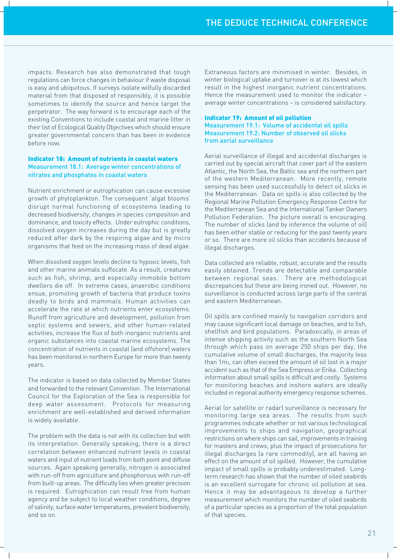impacts. Research has also demonstrated that tough regulations can force changes in behaviour if waste disposal is easy and ubiquitous. If surveys isolate wilfully discarded material from that disposed of responsibly, it is possible sometimes to identify the source and hence target the perpetrator. The way forward is to encourage each of the existing Conventions to include coastal and marine litter in their list of Ecological Quality Objectives which should ensure greater governmental concern than has been in evidence before now

#### **Indicator 18: Amount of nutrients in coastal waters** Measurement 18.1: Average winter concentrations of nitrates and phosphates in coastal waters

Nutrient enrichment or eutrophication can cause excessive growth of phytoplankton. The consequent 'algal blooms' disrupt normal functioning of ecosystems leading to decreased biodiversity, changes in species composition and dominance, and toxicity effects. Under eutrophic conditions, dissolved oxygen increases during the day but is greatly reduced after dark by the respiring algae and by micro organisms that feed on the increasing mass of dead algae.

When dissolved oxygen levels decline to hypoxic levels, fish and other marine animals suffocate. As a result, creatures such as fish, shrimp, and especially immobile bottom dwellers die off. In extreme cases, anaerobic conditions ensue, promoting growth of bacteria that produce toxins deadly to birds and mammals. Human activities can accelerate the rate at which nutrients enter ecosystems. Runoff from agriculture and development, pollution from septic systems and sewers, and other human-related activities, increase the flux of both inorganic nutrients and organic substances into coastal marine ecosystems. The concentration of nutrients in coastal (and offshore) waters has been monitored in northern Europe for more than twenty years.

The indicator is based on data collected by Member States and forwarded to the relevant Convention. The International Council for the Exploration of the Sea is responsible for deep water assessment. Protocols for measuring enrichment are well-established and derived information is widely available.

The problem with the data is not with its collection but with its interpretation. Generally speaking, there is a direct correlation between enhanced nutrient levels in coastal waters and input of nutrient loads from both point and diffuse sources. Again speaking generally, nitrogen is associated with run-off from agriculture and phosphorous with run-off from built-up areas. The difficulty lies when greater precision is required. Eutrophication can result free from human agency and be subject to local weather conditions, degree of salinity, surface water temperatures, prevalent biodiversity, and so on.

Extraneous factors are minimised in winter. Besides, in winter biological uptake and turnover is at its lowest which result in the highest inorganic nutrient concentrations. Hence the measurement used to monitor the indicator average winter concentrations - is considered satisfactory.

#### **Indicator 19: Amount of oil pollution** Measurement 19.1: Volume of accidental oil spills Measurement 19.2: Number of observed oil slicks from aerial surveillance

Aerial surveillance of illegal and accidental discharges is carried out by special aircraft that cover part of the eastern Atlantic, the North Sea, the Baltic sea and the northern part of the western Mediterranean. More recently, remote sensing has been used successfully to detect oil slicks in the Mediterranean. Data on spills is also collected by the Regional Marine Pollution Emergency Response Centre for the Mediterranean Sea and the International Tanker Owners Pollution Federation. The picture overall is encouraging. The number of slicks (and by inference the volume of oil) has been either stable or reducing for the past twenty years or so. There are more oil slicks than accidents because of illegal discharges.

Data collected are reliable, robust, accurate and the results easily obtained. Trends are detectable and comparable between regional seas. There are methodological discrepancies but these are being ironed out. However, no surveillance is conducted across large parts of the central and eastern Mediterranean.

Oil spills are confined mainly to navigation corridors and may cause significant local damage on beaches, and to fish, shellfish and bird populations. Paradoxically, in areas of intense shipping activity such as the southern North Sea through which pass on average 250 ships per day, the cumulative volume of small discharges, the majority less than 1m<sub>3</sub>, can often exceed the amount of oil lost in a major accident such as that of the Sea Empress or Erika. Collecting information about small spills is difficult and costly. Systems for monitoring beaches and inshore waters are ideally included in regional authority emergency response schemes.

Aerial (or satellite or radar) surveillance is necessary for monitoring large sea areas. The results from such programmes indicate whether or not various technological improvements to ships and navigation, geographical restrictions on where ships can sail, improvements in training for masters and crews, plus the impact of prosecutions for illegal discharges (a rare commodity), are all having an effect on the amount of oil spilled. However, the cumulative impact of small spills is probably underestimated. Longterm research has shown that the number of oiled seabirds is an excellent surrogate for chronic oil pollution at sea. Hence it may be advantageous to develop a further measurement which monitors the number of oiled seabirds of a particular species as a proportion of the total population of that species.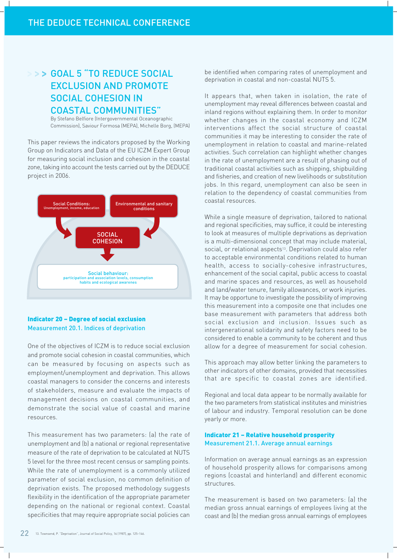## >>> GOAL 5 "TO REDUCE SOCIAL **EXCLUSION AND PROMOTE SOCIAL COHESION IN COASTAL COMMUNITIES"**

By Stefano Belfiore (Intergovernmental Oceanographic Commission), Saviour Formosa (MEPA), Michelle Borg, (MEPA)

This paper reviews the indicators proposed by the Working Group on Indicators and Data of the EU ICZM Expert Group for measuring social inclusion and cohesion in the coastal zone, taking into account the tests carried out by the DEDUCE project in 2006.



#### **Indicator 20 - Degree of social exclusion Measurement 20.1. Indices of deprivation**

One of the objectives of ICZM is to reduce social exclusion and promote social cohesion in coastal communities, which can be measured by focusing on aspects such as employment/unemployment and deprivation. This allows coastal managers to consider the concerns and interests of stakeholders, measure and evaluate the impacts of management decisions on coastal communities, and demonstrate the social value of coastal and marine resources.

This measurement has two parameters: (a) the rate of unemployment and (b) a national or regional representative measure of the rate of deprivation to be calculated at NUTS 5 level for the three most recent census or sampling points. While the rate of unemployment is a commonly utilized parameter of social exclusion, no common definition of deprivation exists. The proposed methodology suggests flexibility in the identification of the appropriate parameter depending on the national or regional context. Coastal specificities that may require appropriate social policies can

be identified when comparing rates of unemployment and deprivation in coastal and non-coastal NUTS 5.

It appears that, when taken in isolation, the rate of unemployment may reveal differences between coastal and inland regions without explaining them. In order to monitor whether changes in the coastal economy and ICZM interventions affect the social structure of coastal communities it may be interesting to consider the rate of unemployment in relation to coastal and marine-related activities. Such correlation can highlight whether changes in the rate of unemployment are a result of phasing out of traditional coastal activities such as shipping, shipbuilding and fisheries, and creation of new livelihoods or substitution jobs. In this regard, unemployment can also be seen in relation to the dependency of coastal communities from coastal resources.

While a single measure of deprivation, tailored to national and regional specificities, may suffice, it could be interesting to look at measures of multiple deprivations as deprivation is a multi-dimensional concept that may include material, social, or relational aspects<sup>13</sup>. Deprivation could also refer to acceptable environmental conditions related to human health, access to socially-cohesive infrastructures, enhancement of the social capital, public access to coastal and marine spaces and resources, as well as household and land/water tenure, family allowances, or work injuries. It may be opportune to investigate the possibility of improving this measurement into a composite one that includes one base measurement with parameters that address both social exclusion and inclusion. Issues such as intergenerational solidarity and safety factors need to be considered to enable a community to be coherent and thus allow for a degree of measurement for social cohesion.

This approach may allow better linking the parameters to other indicators of other domains, provided that necessities that are specific to coastal zones are identified.

Regional and local data appear to be normally available for the two parameters from statistical institutes and ministries of labour and industry. Temporal resolution can be done yearly or more.

#### **Indicator 21 - Relative household prosperity** Measurement 21.1. Average annual earnings

Information on average annual earnings as an expression of household prosperity allows for comparisons among regions (coastal and hinterland) and different economic structures.

The measurement is based on two parameters: (a) the median gross annual earnings of employees living at the coast and (b) the median gross annual earnings of employees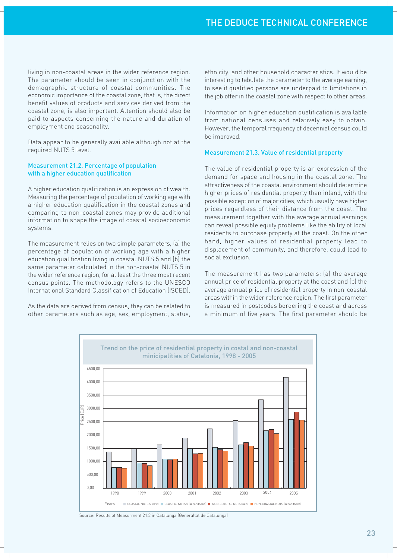living in non-coastal areas in the wider reference region. The parameter should be seen in conjunction with the demographic structure of coastal communities. The economic importance of the coastal zone, that is, the direct benefit values of products and services derived from the coastal zone, is also important. Attention should also be paid to aspects concerning the nature and duration of employment and seasonality.

Data appear to be generally available although not at the required NUTS 5 level.

#### Measurement 21.2. Percentage of population with a higher education qualification

A higher education qualification is an expression of wealth. Measuring the percentage of population of working age with a higher education qualification in the coastal zones and comparing to non-coastal zones may provide additional information to shape the image of coastal socioeconomic systems.

The measurement relies on two simple parameters, (a) the percentage of population of working age with a higher education qualification living in coastal NUTS 5 and (b) the same parameter calculated in the non-coastal NUTS 5 in the wider reference region, for at least the three most recent census points. The methodology refers to the UNESCO International Standard Classification of Education (ISCED).

As the data are derived from census, they can be related to other parameters such as age, sex, employment, status, ethnicity, and other household characteristics. It would be interesting to tabulate the parameter to the average earning, to see if qualified persons are underpaid to limitations in the job offer in the coastal zone with respect to other areas.

Information on higher education qualification is available from national censuses and relatively easy to obtain. However, the temporal frequency of decennial census could be improved.

#### Measurement 21.3. Value of residential property

The value of residential property is an expression of the demand for space and housing in the coastal zone. The attractiveness of the coastal environment should determine higher prices of residential property than inland, with the possible exception of major cities, which usually have higher prices regardless of their distance from the coast. The measurement together with the average annual earnings can reveal possible equity problems like the ability of local residents to purchase property at the coast. On the other hand, higher values of residential property lead to displacement of community, and therefore, could lead to social exclusion.

The measurement has two parameters: (a) the average annual price of residential property at the coast and (b) the average annual price of residential property in non-coastal areas within the wider reference region. The first parameter is measured in postcodes bordering the coast and across a minimum of five years. The first parameter should be



Source: Results of Measurment 21.3 in Catalunga (Generaltat de Catalunga)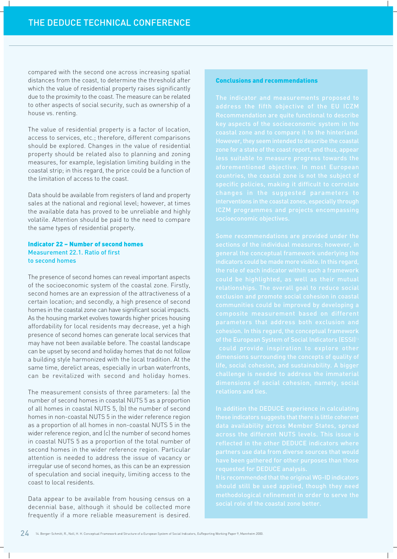compared with the second one across increasing spatial distances from the coast, to determine the threshold after which the value of residential property raises significantly due to the proximity to the coast. The measure can be related to other aspects of social security, such as ownership of a house vs. renting.

The value of residential property is a factor of location, access to services, etc.; therefore, different comparisons should be explored. Changes in the value of residential property should be related also to planning and zoning measures, for example, legislation limiting building in the coastal strip; in this regard, the price could be a function of the limitation of access to the coast.

Data should be available from registers of land and property sales at the national and regional level; however, at times the available data has proved to be unreliable and highly volatile. Attention should be paid to the need to compare the same types of residential property.

#### **Indicator 22 - Number of second homes** Measurement 22.1, Ratio of first to second homes

The presence of second homes can reveal important aspects of the socioeconomic system of the coastal zone. Firstly, second homes are an expression of the attractiveness of a certain location; and secondly, a high presence of second homes in the coastal zone can have significant social impacts. As the housing market evolves towards higher prices housing affordability for local residents may decrease, yet a high presence of second homes can generate local services that may have not been available before. The coastal landscape can be upset by second and holiday homes that do not follow a building style harmonized with the local tradition. At the same time, derelict areas, especially in urban waterfronts, can be revitalized with second and holiday homes.

The measurement consists of three parameters: (a) the number of second homes in coastal NUTS 5 as a proportion of all homes in coastal NUTS 5, (b) the number of second homes in non-coastal NUTS 5 in the wider reference region as a proportion of all homes in non-coastal NUTS 5 in the wider reference region, and (c) the number of second homes in coastal NUTS 5 as a proportion of the total number of second homes in the wider reference region. Particular attention is needed to address the issue of vacancy or irregular use of second homes, as this can be an expression of speculation and social inequity, limiting access to the coast to local residents.

Data appear to be available from housing census on a decennial base, although it should be collected more frequently if a more reliable measurement is desired.

#### **Conclusions and recommendations**

changes in the suggested parameters to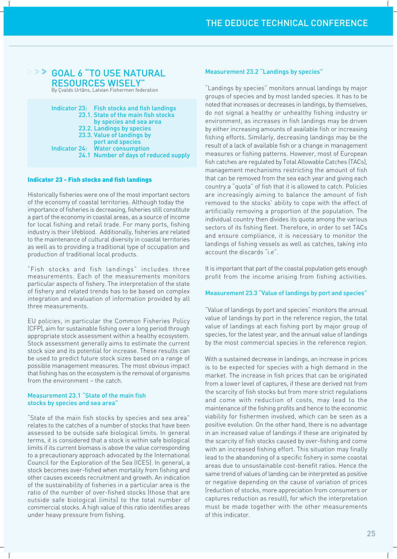### > > > GOAL 6 "TO USE NATURAL **RESOURCES WISELY**

By Çvalds Urtâns, Latvian Fishermen federation

|  | Indicator 23: Fish stocks and fish landings |
|--|---------------------------------------------|
|  | 23.1. State of the main fish stocks         |
|  | by species and sea area                     |
|  | 23.2. Landings by species                   |
|  | 23.3. Value of landings by                  |
|  | port and species                            |
|  | Indicator 24: Water consumption             |
|  | 24.1 Number of days of reduced supply       |

#### **Indicator 23 - Fish stocks and fish landings**

Historically fisheries were one of the most important sectors of the economy of coastal territories. Although today the importance of fisheries is decreasing, fisheries still constitute a part of the economy in coastal areas, as a source of income for local fishing and retail trade. For many ports, fishing industry is their lifeblood. Additionally, fisheries are related to the maintenance of cultural diversity in coastal territories as well as to providing a traditional type of occupation and production of traditional local products.

"Fish stocks and fish landings" includes three measurements. Each of the measurements monitors particular aspects of fishery. The interpretation of the state of fishery and related trends has to be based on complex integration and evaluation of information provided by all three measurements.

EU policies, in particular the Common Fisheries Policy (CFP), aim for sustainable fishing over a long period through appropriate stock assessment within a healthy ecosystem. Stock assessment generally aims to estimate the current stock size and its potential for increase. These results can be used to predict future stock sizes based on a range of possible management measures. The most obvious impact that fishing has on the ecosystem is the removal of organisms from the environment - the catch.

#### Measurement 23.1 "State of the main fish stocks by species and sea area"

"State of the main fish stocks by species and sea area" relates to the catches of a number of stocks that have been assessed to be outside safe biological limits. In general terms, it is considered that a stock is within safe biological limits if its current biomass is above the value corresponding to a precautionary approach advocated by the International Council for the Exploration of the Sea (ICES). In general, a stock becomes over-fished when mortality from fishing and other causes exceeds recruitment and growth. An indication of the sustainability of fisheries in a particular area is the ratio of the number of over-fished stocks (those that are outside safe biological limits) to the total number of commercial stocks. A high value of this ratio identifies areas under heavy pressure from fishing.

#### **Measurement 23.2 "Landings by species"**

"Landings by species" monitors annual landings by major groups of species and by most landed species. It has to be noted that increases or decreases in landings, by themselves, do not signal a healthy or unhealthy fishing industry or environment, as increases in fish landings may be driven by either increasing amounts of available fish or increasing fishing efforts. Similarly, decreasing landings may be the result of a lack of available fish or a change in management measures or fishing patterns. However, most of European fish catches are regulated by Total Allowable Catches (TACs). management mechanisms restricting the amount of fish that can be removed from the sea each year and giving each country a "quota" of fish that it is allowed to catch. Policies are increasingly aiming to balance the amount of fish removed to the stocks' ability to cope with the effect of artificially removing a proportion of the population. The individual country then divides its quota among the various sectors of its fishing fleet. Therefore, in order to set TACs and ensure compliance, it is necessary to monitor the landings of fishing vessels as well as catches, taking into account the discards "i.e".

It is important that part of the coastal population gets enough profit from the income arising from fishing activities.

#### Measurement 23.3 "Value of landings by port and species"

"Value of landings by port and species" monitors the annual value of landings by port in the reference region, the total value of landings at each fishing port by major group of species, for the latest year, and the annual value of landings by the most commercial species in the reference region.

With a sustained decrease in landings, an increase in prices is to be expected for species with a high demand in the market. The increase in fish prices that can be originated from a lower level of captures, if these are derived not from the scarcity of fish stocks but from more strict regulations and come with reduction of costs, may lead to the maintenance of the fishing profits and hence to the economic viability for fishermen involved, which can be seen as a positive evolution. On the other hand, there is no advantage in an increased value of landings if these are originated by the scarcity of fish stocks caused by over-fishing and come with an increased fishing effort. This situation may finally lead to the abandoning of a specific fishery in some coastal areas due to unsustainable cost-benefit ratios. Hence the same trend of values of landing can be interpreted as positive or negative depending on the cause of variation of prices (reduction of stocks, more appreciation from consumers or captures reduction as result), for which the interpretation must be made together with the other measurements of this indicator.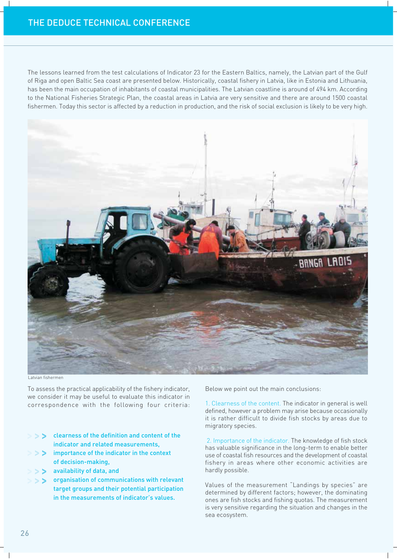The lessons learned from the test calculations of Indicator 23 for the Eastern Baltics, namely, the Latvian part of the Gulf of Riga and open Baltic Sea coast are presented below. Historically, coastal fishery in Latvia, like in Estonia and Lithuania, has been the main occupation of inhabitants of coastal municipalities. The Latvian coastline is around of 494 km. According to the National Fisheries Strategic Plan, the coastal areas in Latvia are very sensitive and there are around 1500 coastal fishermen. Today this sector is affected by a reduction in production, and the risk of social exclusion is likely to be very high.



Latvian fishermen

To assess the practical applicability of the fishery indicator, we consider it may be useful to evaluate this indicator in correspondence with the following four criteria:

- S > clearness of the definition and content of the indicator and related measurements,
- $\geq$  importance of the indicator in the context of decision-making,
- $\geq$  > > availability of data, and
- $>$  >  $>$  organisation of communications with relevant target groups and their potential participation in the measurements of indicator's values.

Below we point out the main conclusions:

1. Clearness of the content. The indicator in general is well defined, however a problem may arise because occasionally it is rather difficult to divide fish stocks by areas due to migratory species.

2. Importance of the indicator. The knowledge of fish stock has valuable significance in the long-term to enable better use of coastal fish resources and the development of coastal fishery in areas where other economic activities are hardly possible.

Values of the measurement "Landings by species" are determined by different factors; however, the dominating ones are fish stocks and fishing quotas. The measurement is very sensitive regarding the situation and changes in the sea ecosystem.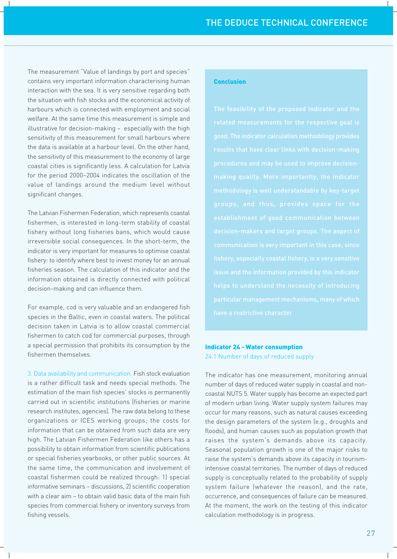The measurement "Value of landings by port and species" contains very important information characterising human interaction with the sea. It is very sensitive regarding both the situation with fish stocks and the economical activity of harbours which is connected with employment and social welfare. At the same time this measurement is simple and illustrative for decision-making - especially with the high sensitivity of this measurement for small harbours where the data is available at a harbour level. On the other hand, the sensitivity of this measurement to the economy of large coastal cities is significantly less. A calculation for Latvia for the period 2000-2004 indicates the oscillation of the value of landings around the medium level without significant changes.

The Latvian Fishermen Federation, which represents coastal fishermen, is interested in long-term stability of coastal fishery without long fisheries bans, which would cause irreversible social consequences. In the short-term, the indicator is very important for measures to optimise coastal fishery: to identify where best to invest money for an annual fisheries season. The calculation of this indicator and the information obtained is directly connected with political decision-making and can influence them.

For example, cod is very valuable and an endangered fish species in the Baltic, even in coastal waters. The political decision taken in Latvia is to allow coastal commercial fishermen to catch cod for commercial purposes, through a special permission that prohibits its consumption by the fishermen themselves.

3. Data availability and communication. Fish stock evaluation is a rather difficult task and needs special methods. The estimation of the main fish species' stocks is permanently carried out in scientific institutions (fisheries or marine research institutes, agencies). The raw data belong to these organizations or ICES working groups; the costs for information that can be obtained from such data are very high. The Latvian Fishermen Federation like others has a possibility to obtain information from scientific publications or special fisheries yearbooks, or other public sources. At the same time, the communication and involvement of coastal fishermen could be realized through: 1) special informative seminars - discussions, 2) scientific cooperation with a clear aim - to obtain valid basic data of the main fish species from commercial fishery or inventory surveys from fishing vessels.

#### **Conclusion**

### **Indicator 24 - Water consumption**

24.1 Number of days of reduced supply

The indicator has one measurement, monitoring annual number of days of reduced water supply in coastal and noncoastal NUTS 5. Water supply has become an expected part of modern urban living. Water supply system failures may occur for many reasons, such as natural causes exceeding the design parameters of the system (e.g., droughts and floods), and human causes such as population growth that raises the system's demands above its capacity. Seasonal population growth is one of the major risks to raise the system's demands above its capacity in tourismintensive coastal territories. The number of days of reduced supply is conceptually related to the probability of supply system failure (whatever the reason), and the rate, occurrence, and consequences of failure can be measured. At the moment, the work on the testing of this indicator calculation methodology is in progress.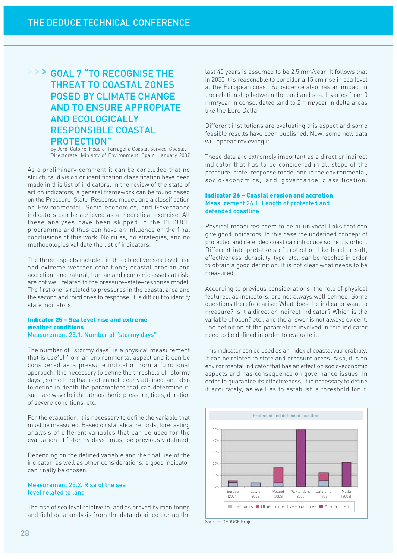## > > > GOAL 7 "TO RECOGNISE THE **THREAT TO COASTAL ZONES POSED BY CLIMATE CHANGE AND TO ENSURE APPROPIATE AND ECOLOGICALLY RESPONSIBLE COASTAL PROTECTION**"

By Jordi Galofré, Head of Tarragona Coastal Service, Coastal Directorate, Ministry of Environment, Spain. January 2007

As a preliminary comment it can be concluded that no structural division or identification classification have been made in this list of indicators. In the review of the state of art on indicators, a general framework can be found based on the Pressure-State-Response model, and a classification on Environmental, Socio-economics, and Governance indicators can be achieved as a theoretical exercise. All these analyses have been skipped in the DEDUCE programme and thus can have an influence on the final conclusions of this work. No rules, no strategies, and no methodologies validate the list of indicators.

The three aspects included in this objective: sea level rise and extreme weather conditions; coastal erosion and accretion; and natural, human and economic assets at risk, are not well related to the pressure-state-response model. The first one is related to pressures in the coastal area and the second and third ones to response. It is difficult to identify state indicators.

#### **Indicator 25 - Sea Level rise and extreme** weather conditions Measurement 25.1. Number of "stormy days"

The number of "stormy days" is a physical measurement that is useful from an environmental aspect and it can be considered as a pressure indicator from a functional approach. It is necessary to define the threshold of "stormy days", something that is often not clearly attained, and also to define in depth the parameters that can determine it, such as: wave height, atmospheric pressure, tides, duration of severe conditions, etc.

For the evaluation, it is necessary to define the variable that must be measured. Based on statistical records, forecasting analysis of different variables that can be used for the evaluation of "stormy days" must be previously defined.

Depending on the defined variable and the final use of the indicator, as well as other considerations, a good indicator can finally be chosen.

#### Measurement 25.2. Rise of the sea level related to land

The rise of sea level relative to land as proved by monitoring and field data analysis from the data obtained during the last 40 years is assumed to be 2.5 mm/year. It follows that in 2050 it is reasonable to consider a 15 cm rise in sea level at the European coast. Subsidence also has an impact in the relationship between the land and sea. It varies from 0 mm/year in consolidated land to 2 mm/year in delta areas like the Ebro Delta.

Different institutions are evaluating this aspect and some feasible results have been published. Now, some new data will appear reviewing it.

These data are extremely important as a direct or indirect indicator that has to be considered in all steps of the pressure-state-response model and in the environmental, socio-economics, and governance classification.

#### **Indicator 26 - Coastal erosion and accretion** Measurement 26.1. Length of protected and defended coastline

Physical measures seem to be bi-univocal links that can give good indicators. In this case the undefined concept of protected and defended coast can introduce some distortion. Different interpretations of protection like hard or soft. effectiveness, durability, type, etc., can be reached in order to obtain a good definition. It is not clear what needs to be measured.

According to previous considerations, the role of physical features, as indicators, are not always well defined. Some questions therefore arise: What does the indicator want to measure? Is it a direct or indirect indicator? Which is the variable chosen? etc., and the answer is not always evident. The definition of the parameters involved in this indicator need to be defined in order to evaluate it.

This indicator can be used as an index of coastal vulnerability. It can be related to state and pressure areas. Also, it is an environmental indicator that has an effect on socio-economic aspects and has consequence on governance issues. In order to quarantee its effectiveness, it is necessary to define it accurately, as well as to establish a threshold for it.



Source: DEDUCE Project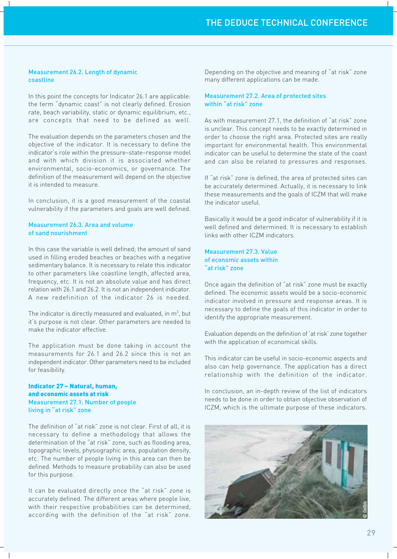#### **Measurement 26.2. Length of dynamic** coastline

In this point the concepts for Indicator 26.1 are applicable: the term "dynamic coast" is not clearly defined. Erosion rate, beach variability, static or dynamic equilibrium, etc., are concepts that need to be defined as well.

The evaluation depends on the parameters chosen and the objective of the indicator. It is necessary to define the indicator's role within the pressure-state-response model and with which division it is associated whether environmental, socio-economics, or governance. The definition of the measurement will depend on the objective it is intended to measure.

In conclusion, it is a good measurement of the coastal vulnerability if the parameters and goals are well defined.

#### Measurement 26.3. Area and volume of sand nourishment

In this case the variable is well defined; the amount of sand used in filling eroded beaches or beaches with a negative sedimentary balance. It is necessary to relate this indicator to other parameters like coastline length, affected area, frequency, etc. It is not an absolute value and has direct relation with 26.1 and 26.2. It is not an independent indicator. A new redefinition of the indicator 26 is needed.

The indicator is directly measured and evaluated, in  $m^3$ , but it's purpose is not clear. Other parameters are needed to make the indicator effective.

The application must be done taking in account the measurements for 26.1 and 26.2 since this is not an independent indicator. Other parameters need to be included for feasibility.

#### Indicator 27 - Natural, human. and economic assets at risk Measurement 27.1. Number of people living in "at risk" zone

The definition of "at risk" zone is not clear. First of all, it is necessary to define a methodology that allows the determination of the "at risk" zone, such as flooding area, topographic levels, physiographic area, population density, etc. The number of people living in this area can then be defined. Methods to measure probability can also be used for this purpose.

It can be evaluated directly once the "at risk" zone is accurately defined. The different areas where people live, with their respective probabilities can be determined, according with the definition of the "at risk" zone.

Depending on the objective and meaning of "at risk" zone many different applications can be made.

#### Measurement 27.2. Area of protected sites within "at risk" zone

As with measurement 27.1, the definition of "at risk" zone is unclear. This concept needs to be exactly determined in order to choose the right area. Protected sites are really important for environmental health. This environmental indicator can be useful to determine the state of the coast and can also be related to pressures and responses.

If "at risk" zone is defined, the area of protected sites can be accurately determined. Actually, it is necessary to link these measurements and the goals of ICZM that will make the indicator useful.

Basically it would be a good indicator of vulnerability if it is well defined and determined. It is necessary to establish links with other ICZM indicators.

#### Measurement 27.3. Value of economic assets within at risk" zone"

Once again the definition of "at risk" zone must be exactly defined. The economic assets would be a socio-economic indicator involved in pressure and response areas. It is necessary to define the goals of this indicator in order to identify the appropriate measurement.

Evaluation depends on the definition of 'at risk' zone together with the application of economical skills.

This indicator can be useful in socio-economic aspects and also can help governance. The application has a direct relationship with the definition of the indicator.

In conclusion, an in-depth review of the list of indicators needs to be done in order to obtain objective observation of ICZM, which is the ultimate purpose of these indicators.

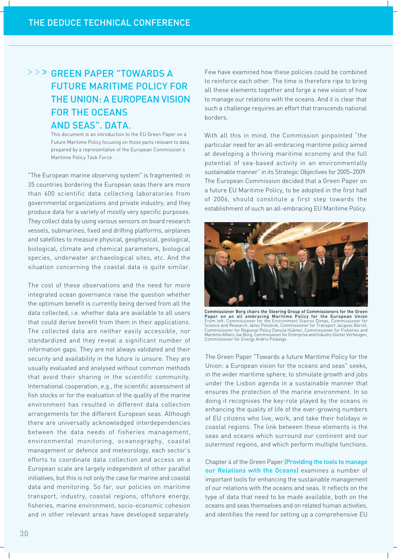## > > > GREEN PAPER "TOWARDS A **FUTURE MARITIME POLICY FOR** THE UNION: A EUROPEAN VISION **FOR THE OCEANS AND SEAS", DATA.**

This document is an introduction to the EU Green Paper on a Future Maritime Policy focusing on those parts relevant to data, prepared by a representative of the European Commission's Maritime Policy Task Force.

"The European marine observing system" is fragmented: in 35 countries bordering the European seas there are more than 600 scientific data collecting laboratories from governmental organizations and private industry, and they produce data for a variety of mostly very specific purposes. They collect data by using various sensors on board research vessels, submarines, fixed and drifting platforms, airplanes and satellites to measure physical, geophysical, geological, biological, climate and chemical parameters, biological species, underwater archaeological sites, etc. And the situation concerning the coastal data is quite similar.

The cost of these observations and the need for more integrated ocean governance raise the question whether the optimum benefit is currently being derived from all the data collected, i.e. whether data are available to all users that could derive benefit from them in their applications. The collected data are neither easily accessible, nor standardized and they reveal a significant number of information gaps. They are not always validated and their security and availability in the future is unsure. They are usually evaluated and analysed without common methods that avoid their sharing in the scientific community. International cooperation, e.g., the scientific assessment of fish stocks or for the evaluation of the quality of the marine environment has resulted in different data collection arrangements for the different European seas. Although there are universally acknowledged interdependencies between the data needs of fisheries management, environmental monitoring, oceanography, coastal management or defence and meteorology, each sector's efforts to coordinate data collection and access on a European scale are largely independent of other parallel initiatives, but this is not only the case for marine and coastal data and monitoring. So far, our policies on maritime transport, industry, coastal regions, offshore energy, fisheries, marine environment, socio-economic cohesion and in other relevant areas have developed separately.

Few have examined how these policies could be combined to reinforce each other. The time is therefore ripe to bring all these elements together and forge a new vision of how to manage our relations with the oceans. And it is clear that such a challenge requires an effort that transcends national borders.

With all this in mind, the Commission pinpointed "the particular need for an all-embracing maritime policy aimed at developing a thriving maritime economy and the full potential of sea-based activity in an environmentally sustainable manner" in its Strategic Objectives for 2005-2009. The European Commission decided that a Green Paper on a future EU Maritime Policy, to be adopted in the first half of 2006, should constitute a first step towards the establishment of such an all-embracing EU Maritime Policy.



Commissioner Borg chairs the Steering Group of Commissioners for the Green Commissioner Borg Chairs the Steeling Maritime Policy for the European Union<br>From left: Commissioner for the Environment Stavros Dimas, Commissioner for<br>From left: Commissioner for the Environment Stavros Dimas, Commission

The Green Paper "Towards a future Maritime Policy for the Union: a European vision for the oceans and seas" seeks, in the wider maritime sphere, to stimulate growth and jobs under the Lisbon agenda in a sustainable manner that ensures the protection of the marine environment. In so doing it recognises the key-role played by the oceans in enhancing the quality of life of the ever-growing numbers of EU citizens who live, work, and take their holidays in coastal regions. The link between these elements is the seas and oceans which surround our continent and our outermost regions, and which perform multiple functions.

Chapter 4 of the Green Paper (Providing the tools to manage our Relations with the Oceans) examines a number of important tools for enhancing the sustainable management of our relations with the oceans and seas. It reflects on the type of data that need to be made available, both on the oceans and seas themselves and on related human activities. and identifies the need for setting up a comprehensive EU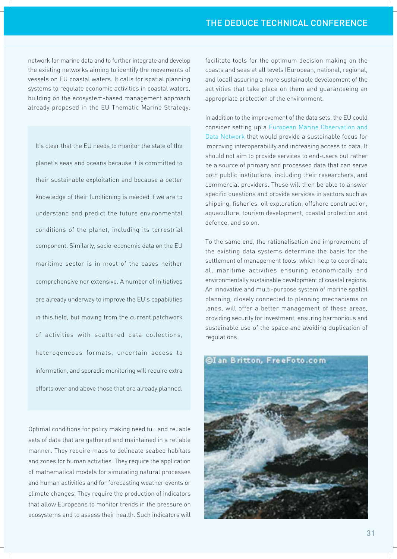network for marine data and to further integrate and develop the existing networks aiming to identify the movements of vessels on EU coastal waters. It calls for spatial planning systems to regulate economic activities in coastal waters, building on the ecosystem-based management approach already proposed in the EU Thematic Marine Strategy.

It's clear that the EU needs to monitor the state of the planet's seas and oceans because it is committed to their sustainable exploitation and because a better knowledge of their functioning is needed if we are to understand and predict the future environmental conditions of the planet, including its terrestrial component. Similarly, socio-economic data on the EU maritime sector is in most of the cases neither comprehensive nor extensive. A number of initiatives are already underway to improve the EU's capabilities in this field, but moving from the current patchwork of activities with scattered data collections, heterogeneous formats, uncertain access to information, and sporadic monitoring will require extra efforts over and above those that are already planned.

Optimal conditions for policy making need full and reliable sets of data that are gathered and maintained in a reliable manner. They require maps to delineate seabed habitats and zones for human activities. They require the application of mathematical models for simulating natural processes and human activities and for forecasting weather events or climate changes. They require the production of indicators that allow Europeans to monitor trends in the pressure on ecosystems and to assess their health. Such indicators will facilitate tools for the optimum decision making on the coasts and seas at all levels (European, national, regional, and local) assuring a more sustainable development of the activities that take place on them and quaranteeing an appropriate protection of the environment.

In addition to the improvement of the data sets, the EU could consider setting up a European Marine Observation and Data Network that would provide a sustainable focus for improving interoperability and increasing access to data. It should not aim to provide services to end-users but rather be a source of primary and processed data that can serve both public institutions, including their researchers, and commercial providers. These will then be able to answer specific questions and provide services in sectors such as shipping, fisheries, oil exploration, offshore construction, aquaculture, tourism development, coastal protection and defence, and so on.

To the same end, the rationalisation and improvement of the existing data systems determine the basis for the settlement of management tools, which help to coordinate all maritime activities ensuring economically and environmentally sustainable development of coastal regions. An innovative and multi-purpose system of marine spatial planning, closely connected to planning mechanisms on lands, will offer a better management of these areas, providing security for investment, ensuring harmonious and sustainable use of the space and avoiding duplication of regulations.

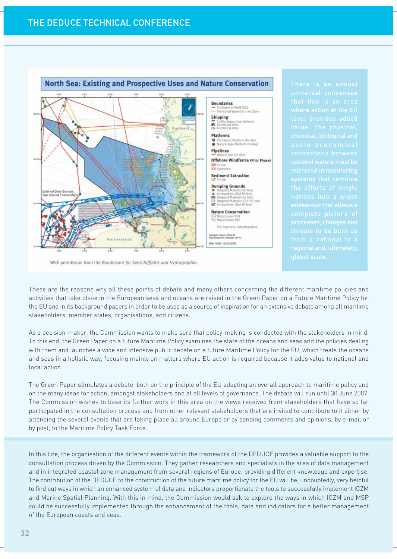

With permission from the Bundesamt für Seeschifffahrt und Hydrographie.

These are the reasons why all these points of debate and many others concerning the different maritime policies and activities that take place in the European seas and oceans are raised in the Green Paper on a Future Maritime Policy for the EU and in its background papers in order to be used as a source of inspiration for an extensive debate among all maritime stakeholders, member states, organisations, and citizens.

As a decision-maker, the Commission wants to make sure that policy-making is conducted with the stakeholders in mind. To this end, the Green Paper on a future Maritime Policy examines the state of the oceans and seas and the policies dealing with them and launches a wide and intensive public debate on a future Maritime Policy for the EU, which treats the oceans and seas in a holistic way, focusing mainly on matters where EU action is required because it adds value to national and local action.

The Green Paper stimulates a debate, both on the principle of the EU adopting an overall approach to maritime policy and on the many ideas for action, amongst stakeholders and at all levels of governance. The debate will run until 30 June 2007. The Commission wishes to base its further work in this area on the views received from stakeholders that have so far participated in the consultation process and from other relevant stakeholders that are invited to contribute to it either by attending the several events that are taking place all around Europe or by sending comments and opinions, by e-mail or by post, to the Maritime Policy Task Force.

In this line, the organisation of the different events within the framework of the DEDUCE provides a valuable support to the consultation process driven by the Commission. They gather researchers and specialists in the area of data management and in integrated coastal zone management from several regions of Europe, providing different knowledge and expertise. The contribution of the DEDUCE to the construction of the future maritime policy for the EU will be, undoubtedly, very helpful to find out ways in which an enhanced system of data and indicators proportionate the tools to successfully implement ICZM and Marine Spatial Planning. With this in mind, the Commission would ask to explore the ways in which ICZM and MSP could be successfully implemented through the enhancement of the tools, data and indicators for a better management of the European coasts and seas.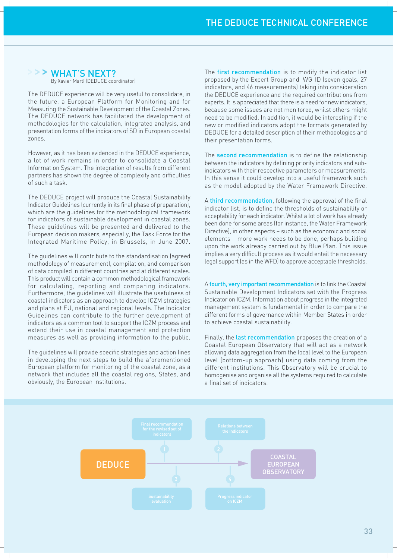## > > WHAT'S NEXT?

By Xavier Martí (DEDUCE coordinator)

The DEDUCE experience will be very useful to consolidate, in the future, a European Platform for Monitoring and for Measuring the Sustainable Development of the Coastal Zones. The DEDUCE network has facilitated the development of methodologies for the calculation, integrated analysis, and presentation forms of the indicators of SD in European coastal **ZODAS** 

However, as it has been evidenced in the DEDUCE experience, a lot of work remains in order to consolidate a Coastal Information System. The integration of results from different partners has shown the degree of complexity and difficulties of such a task.

The DEDUCE project will produce the Coastal Sustainability Indicator Guidelines (currently in its final phase of preparation). which are the quidelines for the methodological framework for indicators of sustainable development in coastal zones. These quidelines will be presented and delivered to the European decision makers, especially, the Task Force for the Integrated Maritime Policy, in Brussels, in June 2007.

The guidelines will contribute to the standardisation (agreed methodology of measurement), compilation, and comparison of data compiled in different countries and at different scales. This product will contain a common methodological framework for calculating, reporting and comparing indicators. Furthermore, the guidelines will illustrate the usefulness of coastal indicators as an approach to develop ICZM strategies and plans at EU, national and regional levels. The Indicator Guidelines can contribute to the further development of indicators as a common tool to support the ICZM process and extend their use in coastal management and protection measures as well as providing information to the public.

The quidelines will provide specific strategies and action lines in developing the next steps to build the aforementioned European platform for monitoring of the coastal zone, as a network that includes all the coastal regions, States, and obviously, the European Institutions.

The first recommendation is to modify the indicator list proposed by the Expert Group and WG-ID (seven goals, 27 indicators, and 46 measurements) taking into consideration the DEDUCE experience and the required contributions from experts. It is appreciated that there is a need for new indicators, because some issues are not monitored, whilst others might need to be modified. In addition, it would be interesting if the new or modified indicators adopt the formats generated by DEDUCE for a detailed description of their methodologies and their presentation forms.

The second recommendation is to define the relationship between the indicators by defining priority indicators and subindicators with their respective parameters or measurements. In this sense it could develop into a useful framework such as the model adopted by the Water Framework Directive.

A third recommendation, following the approval of the final indicator list, is to define the thresholds of sustainability or acceptability for each indicator. Whilst a lot of work has already been done for some areas (for instance, the Water Framework Directive), in other aspects - such as the economic and social elements - more work needs to be done, perhaps building upon the work already carried out by Blue Plan. This issue implies a very difficult process as it would entail the necessary legal support (as in the WFD) to approve acceptable thresholds.

A fourth, very important recommendation is to link the Coastal Sustainable Development Indicators set with the Progress Indicator on ICZM. Information about progress in the integrated management system is fundamental in order to compare the different forms of governance within Member States in order to achieve coastal sustainability.

Finally, the last recommendation proposes the creation of a Coastal European Observatory that will act as a network allowing data aggregation from the local level to the European level (bottom-up approach) using data coming from the different institutions. This Observatory will be crucial to homogenise and organise all the systems required to calculate a final set of indicators

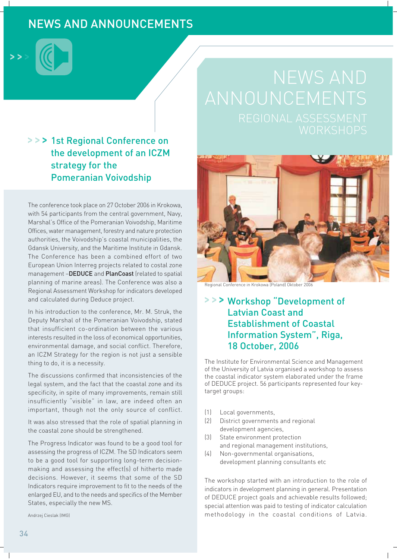# **NEWS AND ANNOUNCEMENTS**



## >>> 1st Regional Conference on the development of an ICZM strategy for the **Pomeranian Voivodship**

The conference took place on 27 October 2006 in Krokowa, with 54 participants from the central government, Navy, Marshal's Office of the Pomeranian Voivodship, Maritime Offices, water management, forestry and nature protection authorities, the Voivodship's coastal municipalities, the Gdansk University, and the Maritime Institute in Gdansk. The Conference has been a combined effort of two European Union Interreg projects related to costal zone management -DEDUCE and PlanCoast (related to spatial planning of marine areas). The Conference was also a Regional Assessment Workshop for indicators developed and calculated during Deduce project.

In his introduction to the conference, Mr. M. Struk, the Deputy Marshal of the Pomeranian Voivodship, stated that insufficient co-ordination between the various interests resulted in the loss of economical opportunities. environmental damage, and social conflict. Therefore, an ICZM Strategy for the region is not just a sensible thing to do, it is a necessity.

The discussions confirmed that inconsistencies of the legal system, and the fact that the coastal zone and its specificity, in spite of many improvements, remain still insufficiently "visible" in law, are indeed often an important, though not the only source of conflict.

It was also stressed that the role of spatial planning in the coastal zone should be strengthened.

The Progress Indicator was found to be a good tool for assessing the progress of ICZM. The SD Indicators seem to be a good tool for supporting long-term decisionmaking and assessing the effect(s) of hitherto made decisions. However, it seems that some of the SD Indicators require improvement to fit to the needs of the enlarged EU, and to the needs and specifics of the Member States, especially the new MS.

Andrzej Cieslak (IMG)



Regional Conference in Krokowa (Poland) Oktober 2006

## >>> Workshop "Development of **Latvian Coast and Establishment of Coastal Information System", Riga,** 18 October, 2006

The Institute for Environmental Science and Management of the University of Latvia organised a workshop to assess the coastal indicator system elaborated under the frame of DEDUCE project. 56 participants represented four keytarget groups:

- Local governments,  $(1)$
- $\left(2\right)$ District governments and regional development agencies,
- $\left[3\right]$ State environment protection and regional management institutions,
- $(4)$ Non-governmental organisations, development planning consultants etc

The workshop started with an introduction to the role of indicators in development planning in general. Presentation of DEDUCE project goals and achievable results followed; special attention was paid to testing of indicator calculation methodology in the coastal conditions of Latvia.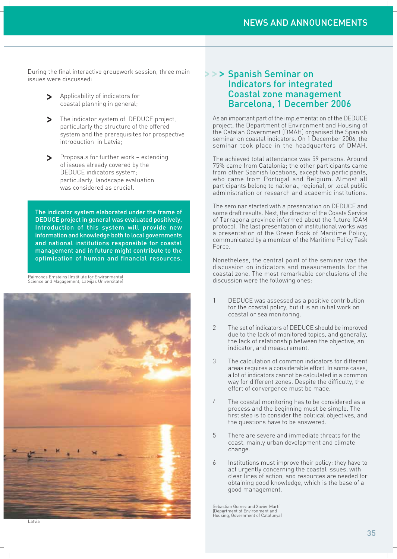During the final interactive groupwork session, three main issues were discussed:

- Applicability of indicators for coastal planning in general;
- The indicator system of DEDUCE project. particularly the structure of the offered system and the prerequisites for prospective introduction in Latvia:
- Proposals for further work extending of issues already covered by the DEDUCE indicators system; particularly, landscape evaluation was considered as crucial.

The indicator system elaborated under the frame of DEDUCE project in general was evaluated positively. Introduction of this system will provide new information and knowledge both to local governments and national institutions responsible for coastal management and in future might contribute to the optimisation of human and financial resources.

Raimonds Emsteins (Institiute for Environmental Science and Magagement, Latvijas Universitate



## >>> Spanish Seminar on **Indicators for integrated Coastal zone management** Barcelona, 1 December 2006

As an important part of the implementation of the DEDUCE project, the Department of Environment and Housing of the Catalan Government (DMAH) organised the Spanish seminar on coastal indicators. On 1 December 2006, the seminar took place in the headquarters of DMAH.

The achieved total attendance was 59 persons. Around 75% came from Catalonia; the other participants came from other Spanish locations, except two participants, who came from Portugal and Belgium. Almost all participants belong to national, regional, or local public administration or research and academic institutions.

The seminar started with a presentation on DEDUCE and some draft results. Next, the director of the Coasts Service of Tarragona province informed about the future ICAM protocol. The last presentation of institutional works was a presentation of the Green Book of Maritime Policy, communicated by a member of the Maritime Policy Task Force.

Nonetheless, the central point of the seminar was the discussion on indicators and measurements for the coastal zone. The most remarkable conclusions of the discussion were the following ones:

- $\mathbf{1}$ DEDUCE was assessed as a positive contribution for the coastal policy, but it is an initial work on coastal or sea monitoring.
- $\overline{2}$ The set of indicators of DEDUCE should be improved due to the lack of monitored topics, and generally, the lack of relationship between the objective, an indicator, and measurement.
- $\mathcal{S}$ The calculation of common indicators for different areas requires a considerable effort. In some cases, a lot of indicators cannot be calculated in a common way for different zones. Despite the difficulty, the effort of convergence must be made.
- $\sqrt{ }$ The coastal monitoring has to be considered as a process and the beginning must be simple. The first step is to consider the political objectives, and the questions have to be answered.
- 5 There are severe and immediate threats for the coast, mainly urban development and climate change.
- $\overline{a}$ Institutions must improve their policy: they have to act urgently concerning the coastal issues, with clear lines of action, and resources are needed for obtaining good knowledge, which is the base of a good management.

Sebastian Gomez and Xavier Martí<br>(Department of Environment and Housing, Government of Catalunya)